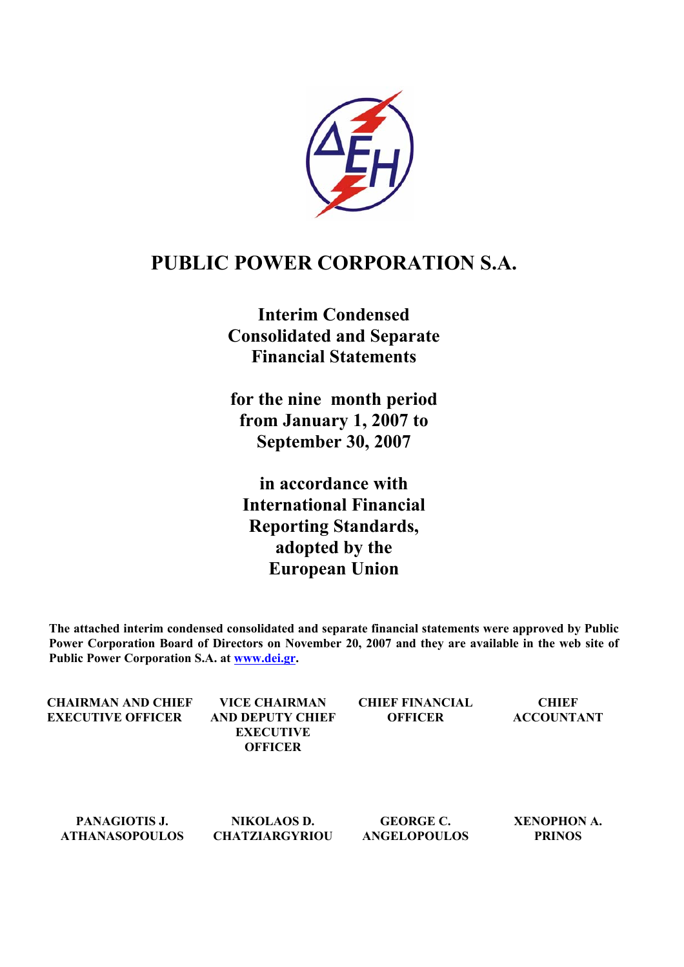

# **PUBLIC POWER CORPORATION S.A.**

**Interim Condensed Consolidated and Separate Financial Statements** 

**for the nine month period from January 1, 2007 to September 30, 2007** 

**in accordance with International Financial Reporting Standards, adopted by the European Union** 

**The attached interim condensed consolidated and separate financial statements were approved by Public Power Corporation Board of Directors on November 20, 2007 and they are available in the web site of Public Power Corporation S.A. at [www.dei.gr](http://www.dei.gr/).** 

| CHAIRMAN AND CHIEF<br><b>EXECUTIVE OFFICER</b> | VICE CHAIRMAN<br>AND DEPUTY CHIEF<br><b>EXECUTIVE</b><br><b>OFFICER</b> | <b>CHIEF FINANCIAL</b><br><b>OFFICER</b> | <b>CHIEF</b><br><b>ACCOUNTANT</b> |
|------------------------------------------------|-------------------------------------------------------------------------|------------------------------------------|-----------------------------------|
|                                                |                                                                         |                                          |                                   |

**PANAGIOTIS J. ATHANASOPOULOS** 

**NIKOLAOS D. CHATZIARGYRIOU** 

**GEORGE C. ANGELOPOULOS**  **XENOPHON Α. PRINOS**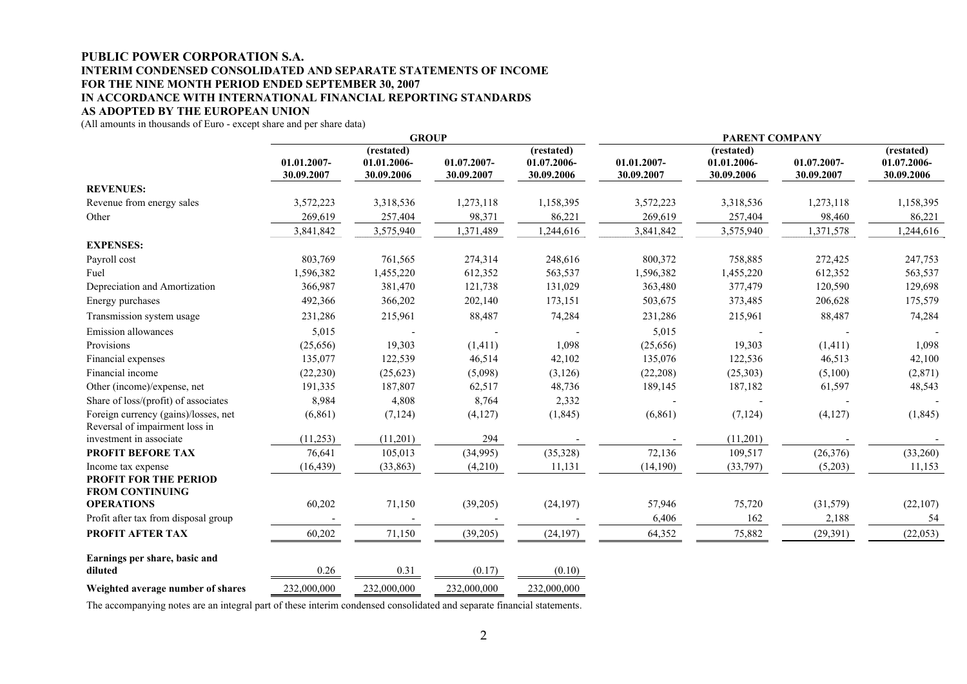#### **PUBLIC POWER CORPORATION S.A. INTERIM CONDENSED CONSOLIDATED AND SEPARATE STATEMENTS OF INCOME FOR THE NINE MONTH PERIOD ENDED SEPTEMBER 30, 2007 IN ACCORDANCE WITH INTERNATIONAL FINANCIAL REPORTING STANDARDS AS ADOPTED BY THE EUROPEAN UNION**

(All amounts in thousands of Euro - except share and per share data)

|                                                                              | <b>GROUP</b>              |                                         |                           | <b>PARENT COMPANY</b>                   |                           |                                         |                           |                                         |
|------------------------------------------------------------------------------|---------------------------|-----------------------------------------|---------------------------|-----------------------------------------|---------------------------|-----------------------------------------|---------------------------|-----------------------------------------|
|                                                                              | 01.01.2007-<br>30.09.2007 | (restated)<br>01.01.2006-<br>30.09.2006 | 01.07.2007-<br>30.09.2007 | (restated)<br>01.07.2006-<br>30.09.2006 | 01.01.2007-<br>30.09.2007 | (restated)<br>01.01.2006-<br>30.09.2006 | 01.07.2007-<br>30.09.2007 | (restated)<br>01.07.2006-<br>30.09.2006 |
| <b>REVENUES:</b>                                                             |                           |                                         |                           |                                         |                           |                                         |                           |                                         |
| Revenue from energy sales                                                    | 3,572,223                 | 3,318,536                               | 1,273,118                 | 1,158,395                               | 3,572,223                 | 3,318,536                               | 1,273,118                 | 1,158,395                               |
| Other                                                                        | 269,619                   | 257,404                                 | 98,371                    | 86,221                                  | 269,619                   | 257,404                                 | 98,460                    | 86,221                                  |
|                                                                              | 3,841,842                 | 3,575,940                               | 1,371,489                 | 1,244,616                               | 3,841,842                 | 3,575,940                               | 1,371,578                 | 1,244,616                               |
| <b>EXPENSES:</b>                                                             |                           |                                         |                           |                                         |                           |                                         |                           |                                         |
| Payroll cost                                                                 | 803,769                   | 761,565                                 | 274,314                   | 248,616                                 | 800,372                   | 758,885                                 | 272,425                   | 247,753                                 |
| Fuel                                                                         | 1,596,382                 | 1,455,220                               | 612,352                   | 563,537                                 | 1,596,382                 | 1,455,220                               | 612,352                   | 563,537                                 |
| Depreciation and Amortization                                                | 366,987                   | 381,470                                 | 121,738                   | 131,029                                 | 363,480                   | 377,479                                 | 120,590                   | 129,698                                 |
| Energy purchases                                                             | 492,366                   | 366,202                                 | 202,140                   | 173,151                                 | 503,675                   | 373,485                                 | 206,628                   | 175,579                                 |
| Transmission system usage                                                    | 231,286                   | 215,961                                 | 88,487                    | 74,284                                  | 231,286                   | 215,961                                 | 88,487                    | 74,284                                  |
| Emission allowances                                                          | 5,015                     |                                         |                           |                                         | 5,015                     |                                         |                           |                                         |
| Provisions                                                                   | (25, 656)                 | 19,303                                  | (1, 411)                  | 1,098                                   | (25, 656)                 | 19,303                                  | (1, 411)                  | 1,098                                   |
| Financial expenses                                                           | 135,077                   | 122,539                                 | 46,514                    | 42,102                                  | 135,076                   | 122,536                                 | 46,513                    | 42,100                                  |
| Financial income                                                             | (22, 230)                 | (25, 623)                               | (5,098)                   | (3, 126)                                | (22, 208)                 | (25, 303)                               | (5,100)                   | (2,871)                                 |
| Other (income)/expense, net                                                  | 191,335                   | 187,807                                 | 62,517                    | 48,736                                  | 189,145                   | 187,182                                 | 61,597                    | 48,543                                  |
| Share of loss/(profit) of associates                                         | 8,984                     | 4,808                                   | 8,764                     | 2,332                                   |                           |                                         |                           |                                         |
| Foreign currency (gains)/losses, net<br>Reversal of impairment loss in       | (6, 861)                  | (7, 124)                                | (4,127)                   | (1, 845)                                | (6, 861)                  | (7, 124)                                | (4,127)                   | (1, 845)                                |
| investment in associate                                                      | (11,253)                  | (11,201)                                | 294                       |                                         |                           | (11,201)                                |                           |                                         |
| PROFIT BEFORE TAX                                                            | 76,641                    | 105,013                                 | (34,995)                  | (35,328)                                | 72,136                    | 109,517                                 | (26, 376)                 | (33,260)                                |
| Income tax expense<br><b>PROFIT FOR THE PERIOD</b><br><b>FROM CONTINUING</b> | (16, 439)                 | (33, 863)                               | (4,210)                   | 11,131                                  | (14, 190)                 | (33,797)                                | (5,203)                   | 11,153                                  |
| <b>OPERATIONS</b>                                                            | 60,202                    | 71,150                                  | (39,205)                  | (24, 197)                               | 57,946                    | 75,720                                  | (31, 579)                 | (22, 107)                               |
| Profit after tax from disposal group                                         |                           |                                         |                           |                                         | 6,406                     | 162                                     | 2,188                     | 54                                      |
| PROFIT AFTER TAX                                                             | 60,202                    | 71,150                                  | (39,205)                  | (24, 197)                               | 64,352                    | 75,882                                  | (29, 391)                 | (22, 053)                               |
| Earnings per share, basic and<br>diluted                                     | 0.26                      | 0.31                                    | (0.17)                    | (0.10)                                  |                           |                                         |                           |                                         |
| Weighted average number of shares                                            | 232,000,000               | 232,000,000                             | 232,000,000               | 232,000,000                             |                           |                                         |                           |                                         |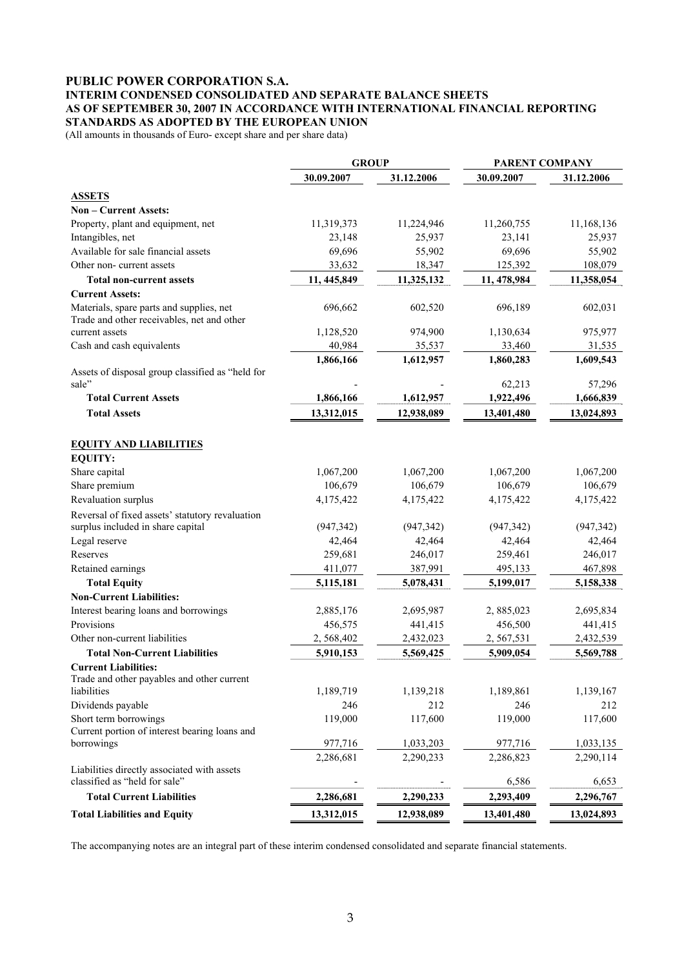#### **PUBLIC POWER CORPORATION S.A. INTERIM CONDENSED CONSOLIDATED AND SEPARATE BALANCE SHEETS AS OF SEPTEMBER 30, 2007 IN ACCORDANCE WITH INTERNATIONAL FINANCIAL REPORTING STANDARDS AS ADOPTED BY THE EUROPEAN UNION**

(All amounts in thousands of Euro- except share and per share data)

|                                                                                        | <b>GROUP</b> | <b>PARENT COMPANY</b> |              |            |  |
|----------------------------------------------------------------------------------------|--------------|-----------------------|--------------|------------|--|
|                                                                                        | 30.09.2007   | 31.12.2006            | 30.09.2007   | 31.12.2006 |  |
| <b>ASSETS</b>                                                                          |              |                       |              |            |  |
| Non - Current Assets:                                                                  |              |                       |              |            |  |
| Property, plant and equipment, net                                                     | 11,319,373   | 11,224,946            | 11,260,755   | 11,168,136 |  |
| Intangibles, net                                                                       | 23,148       | 25,937                | 23,141       | 25,937     |  |
| Available for sale financial assets                                                    | 69,696       | 55,902                | 69,696       | 55,902     |  |
| Other non-current assets                                                               | 33,632       | 18,347                | 125,392      | 108,079    |  |
| <b>Total non-current assets</b>                                                        | 11, 445, 849 | 11,325,132            | 11, 478, 984 | 11,358,054 |  |
| <b>Current Assets:</b>                                                                 |              |                       |              |            |  |
| Materials, spare parts and supplies, net<br>Trade and other receivables, net and other | 696,662      | 602,520               | 696,189      | 602,031    |  |
| current assets                                                                         | 1,128,520    | 974,900               | 1,130,634    | 975,977    |  |
| Cash and cash equivalents                                                              | 40,984       | 35,537                | 33,460       | 31,535     |  |
|                                                                                        | 1,866,166    | 1,612,957             | 1,860,283    | 1,609,543  |  |
| Assets of disposal group classified as "held for                                       |              |                       |              |            |  |
| sale"                                                                                  |              |                       | 62,213       | 57,296     |  |
| <b>Total Current Assets</b>                                                            | 1,866,166    | 1,612,957             | 1,922,496    | 1,666,839  |  |
| <b>Total Assets</b>                                                                    | 13,312,015   | 12,938,089            | 13,401,480   | 13,024,893 |  |
| <b>EQUITY AND LIABILITIES</b>                                                          |              |                       |              |            |  |
| <b>EQUITY:</b>                                                                         |              |                       |              |            |  |
| Share capital                                                                          | 1,067,200    | 1,067,200             | 1,067,200    | 1,067,200  |  |
| Share premium                                                                          | 106,679      | 106,679               | 106,679      | 106,679    |  |
| Revaluation surplus                                                                    | 4,175,422    | 4,175,422             | 4,175,422    | 4,175,422  |  |
| Reversal of fixed assets' statutory revaluation                                        |              |                       |              |            |  |
| surplus included in share capital                                                      | (947, 342)   | (947, 342)            | (947, 342)   | (947, 342) |  |
| Legal reserve                                                                          | 42,464       | 42,464                | 42,464       | 42,464     |  |
| Reserves                                                                               | 259,681      | 246,017               | 259,461      | 246,017    |  |
| Retained earnings                                                                      | 411,077      | 387,991               | 495,133      | 467,898    |  |
| <b>Total Equity</b>                                                                    | 5,115,181    | 5,078,431             | 5,199,017    | 5,158,338  |  |
| <b>Non-Current Liabilities:</b>                                                        |              |                       |              |            |  |
| Interest bearing loans and borrowings                                                  | 2,885,176    | 2,695,987             | 2,885,023    | 2,695,834  |  |
| Provisions                                                                             | 456,575      | 441,415               | 456,500      | 441,415    |  |
| Other non-current liabilities                                                          | 2,568,402    | 2,432,023             | 2,567,531    | 2,432,539  |  |
| <b>Total Non-Current Liabilities</b>                                                   | 5,910,153    | 5,569,425             | 5,909,054    | 5,569,788  |  |
| <b>Current Liabilities:</b>                                                            |              |                       |              |            |  |
| Trade and other payables and other current                                             |              |                       |              |            |  |
| liabilities                                                                            | 1,189,719    | 1,139,218             | 1,189,861    | 1,139,167  |  |
| Dividends payable                                                                      | 246          | 212                   | 246          | 212        |  |
| Short term borrowings                                                                  | 119,000      | 117,600               | 119,000      | 117,600    |  |
| Current portion of interest bearing loans and                                          |              |                       |              |            |  |
| borrowings                                                                             | 977,716      | 1,033,203             | 977,716      | 1,033,135  |  |
|                                                                                        | 2,286,681    | 2,290,233             | 2,286,823    | 2,290,114  |  |
| Liabilities directly associated with assets<br>classified as "held for sale"           |              |                       | 6,586        | 6,653      |  |
| <b>Total Current Liabilities</b>                                                       | 2,286,681    | 2,290,233             | 2,293,409    | 2,296,767  |  |
|                                                                                        |              |                       |              |            |  |
| <b>Total Liabilities and Equity</b>                                                    | 13,312,015   | 12,938,089            | 13,401,480   | 13,024,893 |  |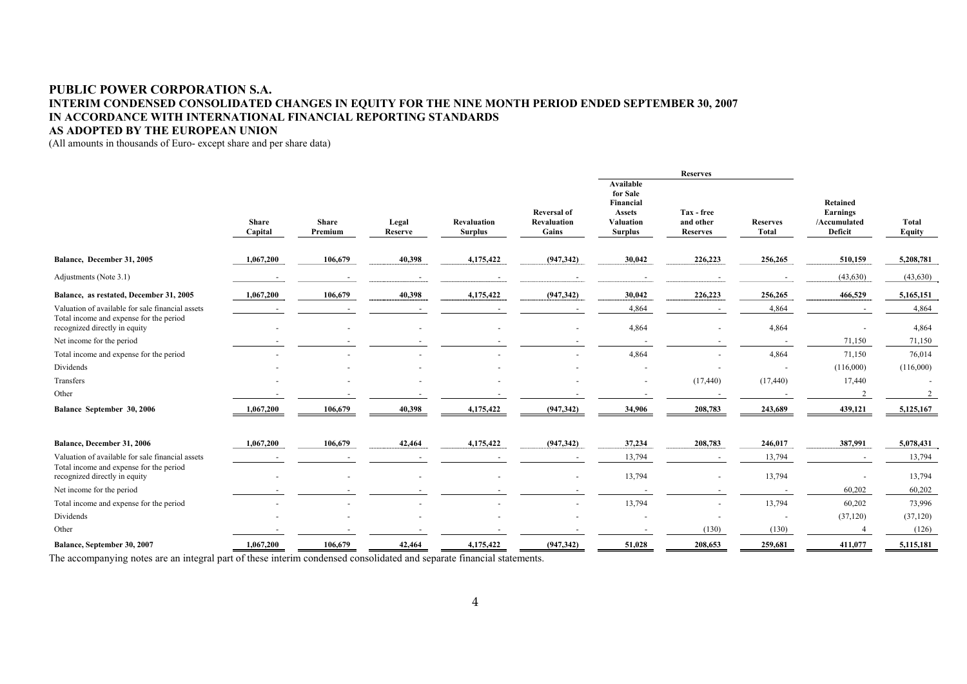#### **PUBLIC POWER CORPORATION S.A. INTERIM CONDENSED CONSOLIDATED CHANGES IN EQUITY FOR THE NINE MONTH PERIOD ENDED SEPTEMBER 30, 2007 IN ACCORDANCE WITH INTERNATIONAL FINANCIAL REPORTING STANDARDS AS ADOPTED BY THE EUROPEAN UNION**

(All amounts in thousands of Euro- except share and per share data)

|                                                                          |                         |                         |                  |                               |                                                   | <b>Reserves</b>                                                                                  |                                            |                                 |                                                        |                 |
|--------------------------------------------------------------------------|-------------------------|-------------------------|------------------|-------------------------------|---------------------------------------------------|--------------------------------------------------------------------------------------------------|--------------------------------------------|---------------------------------|--------------------------------------------------------|-----------------|
|                                                                          | <b>Share</b><br>Capital | <b>Share</b><br>Premium | Legal<br>Reserve | Revaluation<br><b>Surplus</b> | <b>Reversal of</b><br><b>Revaluation</b><br>Gains | <b>Available</b><br>for Sale<br>Financial<br><b>Assets</b><br><b>Valuation</b><br><b>Surplus</b> | Tax - free<br>and other<br><b>Reserves</b> | <b>Reserves</b><br><b>Total</b> | <b>Retained</b><br>Earnings<br>/Accumulated<br>Deficit | Total<br>Equity |
| Balance, December 31, 2005                                               | 1,067,200               | 106,679                 | 40,398           | 4,175,422                     | (947,342)                                         | 30,042                                                                                           | 226,223                                    | 256,265                         | 510,159                                                | 5,208,781       |
| Adjustments (Note 3.1)                                                   |                         |                         |                  |                               |                                                   |                                                                                                  |                                            |                                 | (43, 630)                                              | (43,630)        |
| Balance, as restated, December 31, 2005                                  | 1,067,200               | 106,679                 | 40,398           | 4,175,422                     | (947, 342)                                        | 30,042                                                                                           | 226,223                                    | 256,265                         | 466,529                                                | 5,165,151       |
| Valuation of available for sale financial assets                         |                         |                         |                  |                               |                                                   | 4,864                                                                                            |                                            | 4,864                           |                                                        | 4,864           |
| Total income and expense for the period<br>recognized directly in equity |                         |                         |                  |                               |                                                   | 4,864                                                                                            |                                            | 4,864                           |                                                        | 4,864           |
| Net income for the period                                                |                         |                         |                  |                               |                                                   |                                                                                                  |                                            |                                 | 71,150                                                 | 71,150          |
| Total income and expense for the period                                  |                         |                         |                  |                               |                                                   | 4,864                                                                                            |                                            | 4,864                           | 71,150                                                 | 76,014          |
| Dividends                                                                |                         |                         |                  |                               |                                                   |                                                                                                  |                                            | $\overline{a}$                  | (116,000)                                              | (116,000)       |
| Transfers                                                                |                         |                         |                  |                               |                                                   |                                                                                                  | (17, 440)                                  | (17, 440)                       | 17,440                                                 |                 |
| Other                                                                    |                         |                         |                  |                               |                                                   |                                                                                                  |                                            |                                 |                                                        |                 |
| Balance September 30, 2006                                               | 1,067,200               | 106,679                 | 40,398           | 4,175,422                     | (947, 342)                                        | 34,906                                                                                           | 208,783                                    | 243,689                         | 439,121                                                | 5,125,167       |
| Balance, December 31, 2006                                               | 1,067,200               | 106,679                 | 42,464           | 4,175,422                     | (947, 342)                                        | 37,234                                                                                           | 208,783                                    | 246,017                         | 387,991                                                | 5,078,431       |
| Valuation of available for sale financial assets                         |                         |                         |                  |                               |                                                   | 13,794                                                                                           |                                            | 13,794                          |                                                        | 13,794          |
| Total income and expense for the period<br>recognized directly in equity |                         |                         |                  |                               | $\blacksquare$                                    | 13,794                                                                                           | $\sim$                                     | 13,794                          |                                                        | 13,794          |
| Net income for the period                                                |                         |                         |                  |                               |                                                   |                                                                                                  |                                            |                                 | 60,202                                                 | 60,202          |
| Total income and expense for the period                                  |                         |                         |                  |                               |                                                   | 13,794                                                                                           | $\sim$                                     | 13,794                          | 60,202                                                 | 73,996          |
| Dividends                                                                |                         |                         |                  |                               |                                                   |                                                                                                  |                                            |                                 | (37, 120)                                              | (37, 120)       |
| Other                                                                    |                         |                         |                  |                               |                                                   |                                                                                                  | (130)                                      | (130)                           |                                                        | (126)           |
| Balance, September 30, 2007                                              | 1,067,200               | 106,679                 | 42,464           | 4,175,422                     | (947, 342)                                        | 51,028                                                                                           | 208,653                                    | 259,681                         | 411,077                                                | 5,115,181       |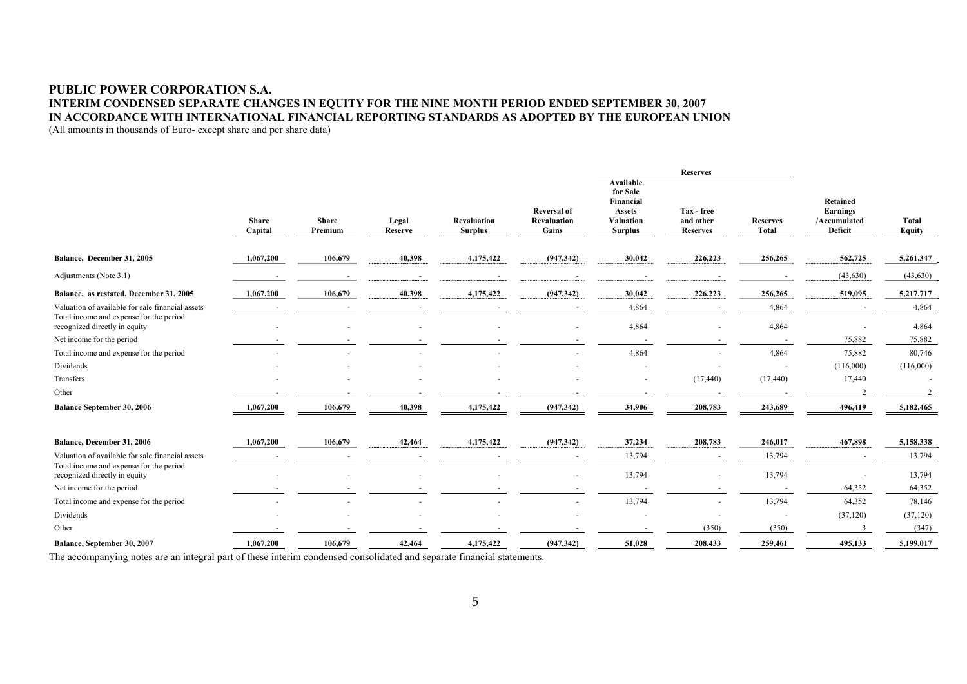## **PUBLIC POWER CORPORATION S.A. INTERIM CONDENSED SEPARATE CHANGES IN EQUITY FOR THE NINE MONTH PERIOD ENDED SEPTEMBER 30, 2007 IN ACCORDANCE WITH INTERNATIONAL FINANCIAL REPORTING STANDARDS AS ADOPTED BY THE EUROPEAN UNION**  (All amounts in thousands of Euro- except share and per share data)

|                                                                          |                         |                         |                  |                               |                                            |                                                                                                  | <b>Reserves</b>                            |                          |                                                 |                        |
|--------------------------------------------------------------------------|-------------------------|-------------------------|------------------|-------------------------------|--------------------------------------------|--------------------------------------------------------------------------------------------------|--------------------------------------------|--------------------------|-------------------------------------------------|------------------------|
|                                                                          | <b>Share</b><br>Capital | <b>Share</b><br>Premium | Legal<br>Reserve | Revaluation<br><b>Surplus</b> | <b>Reversal of</b><br>Revaluation<br>Gains | <b>Available</b><br>for Sale<br>Financial<br><b>Assets</b><br><b>Valuation</b><br><b>Surplus</b> | Tax - free<br>and other<br><b>Reserves</b> | <b>Reserves</b><br>Total | Retained<br>Earnings<br>/Accumulated<br>Deficit | <b>Total</b><br>Equity |
| Balance, December 31, 2005                                               | 1,067,200               | 106,679                 | 40,398           | 4,175,422                     | (947, 342)                                 | 30,042                                                                                           | 226,223                                    | 256,265                  | 562,725                                         | 5,261,347              |
| Adjustments (Note 3.1)                                                   |                         |                         |                  |                               |                                            |                                                                                                  |                                            |                          | (43, 630)                                       | (43,630)               |
| Balance, as restated, December 31, 2005                                  | 1,067,200               | 106,679                 | 40,398           | 4,175,422                     | (947, 342)                                 | 30,042                                                                                           | 226,223                                    | 256,265                  | 519,095                                         | 5,217,717              |
| Valuation of available for sale financial assets                         |                         |                         |                  |                               |                                            | 4,864                                                                                            |                                            | 4,864                    |                                                 | 4,864                  |
| Total income and expense for the period<br>recognized directly in equity |                         |                         |                  |                               | $\sim$                                     | 4,864                                                                                            |                                            | 4,864                    |                                                 | 4,864                  |
| Net income for the period                                                |                         |                         |                  |                               |                                            |                                                                                                  |                                            |                          | 75,882                                          | 75,882                 |
| Total income and expense for the period                                  |                         |                         |                  |                               |                                            | 4,864                                                                                            |                                            | 4,864                    | 75,882                                          | 80,746                 |
| Dividends                                                                |                         |                         |                  |                               |                                            |                                                                                                  |                                            |                          | (116,000)                                       | (116,000)              |
| Transfers                                                                |                         |                         |                  |                               |                                            | $\blacksquare$                                                                                   | (17, 440)                                  | (17, 440)                | 17,440                                          |                        |
| Other                                                                    |                         |                         |                  |                               |                                            |                                                                                                  |                                            |                          |                                                 | $\overline{2}$         |
| <b>Balance September 30, 2006</b>                                        | 1,067,200               | 106,679                 | 40,398           | 4,175,422                     | (947, 342)                                 | 34,906                                                                                           | 208,783                                    | 243,689                  | 496,419                                         | 5,182,465              |
| Balance, December 31, 2006                                               | 1,067,200               | 106,679                 | 42,464           | 4,175,422                     | (947, 342)                                 | 37,234                                                                                           | 208,783                                    | 246,017                  | 467,898                                         | 5,158,338              |
| Valuation of available for sale financial assets                         |                         |                         |                  |                               |                                            | 13,794                                                                                           |                                            | 13,794                   |                                                 | 13,794                 |
| Total income and expense for the period<br>recognized directly in equity |                         |                         |                  |                               | $\sim$                                     | 13,794                                                                                           | $\blacksquare$                             | 13,794                   |                                                 | 13,794                 |
| Net income for the period                                                |                         |                         |                  |                               |                                            |                                                                                                  |                                            |                          | 64,352                                          | 64,352                 |
| Total income and expense for the period                                  |                         |                         |                  |                               | $\sim$                                     | 13,794                                                                                           | $\sim$                                     | 13,794                   | 64,352                                          | 78,146                 |
| Dividends                                                                |                         |                         |                  |                               |                                            |                                                                                                  |                                            |                          | (37, 120)                                       | (37, 120)              |
| Other                                                                    |                         |                         |                  |                               |                                            |                                                                                                  | (350)                                      | (350)                    | -3                                              | (347)                  |
| Balance, September 30, 2007                                              | 1,067,200               | 106,679                 | 42,464           | 4,175,422                     | (947, 342)                                 | 51,028                                                                                           | 208,433                                    | 259,461                  | 495,133                                         | 5,199,017              |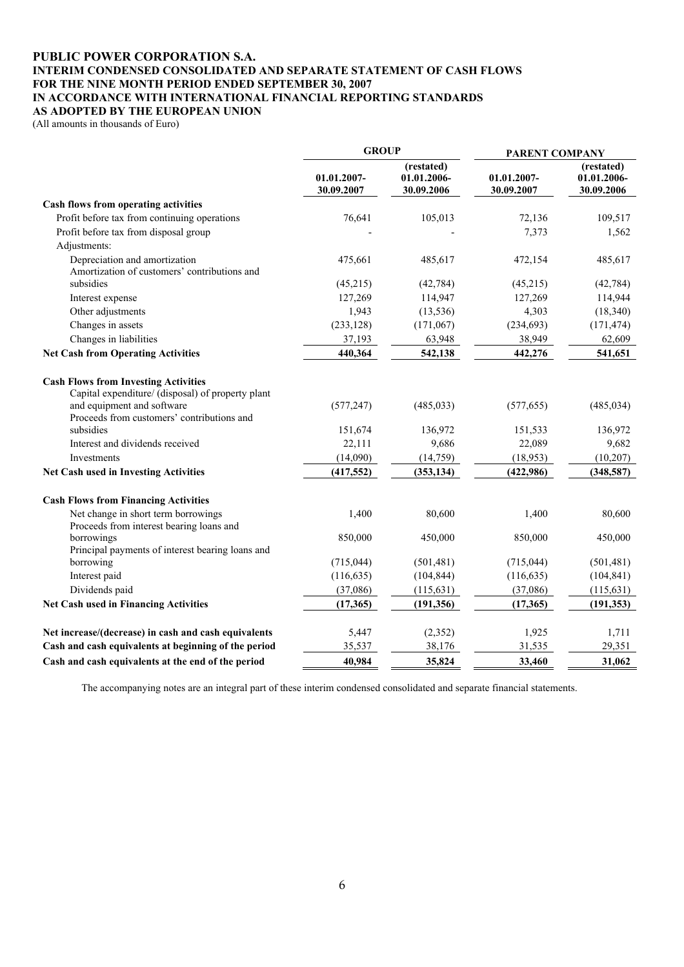#### **PUBLIC POWER CORPORATION S.A. INTERIM CONDENSED CONSOLIDATED AND SEPARATE STATEMENT OF CASH FLOWS FOR THE NINE MONTH PERIOD ENDED SEPTEMBER 30, 2007 IN ACCORDANCE WITH INTERNATIONAL FINANCIAL REPORTING STANDARDS AS ADOPTED BY THE EUROPEAN UNION**

(All amounts in thousands of Euro)

|                                                                                                              | <b>GROUP</b>              |                                         | PARENT COMPANY            |                                         |  |
|--------------------------------------------------------------------------------------------------------------|---------------------------|-----------------------------------------|---------------------------|-----------------------------------------|--|
|                                                                                                              | 01.01.2007-<br>30.09.2007 | (restated)<br>01.01.2006-<br>30.09.2006 | 01.01.2007-<br>30.09.2007 | (restated)<br>01.01.2006-<br>30.09.2006 |  |
| Cash flows from operating activities                                                                         |                           |                                         |                           |                                         |  |
| Profit before tax from continuing operations                                                                 | 76,641                    | 105,013                                 | 72,136                    | 109,517                                 |  |
| Profit before tax from disposal group                                                                        |                           |                                         | 7,373                     | 1,562                                   |  |
| Adjustments:                                                                                                 |                           |                                         |                           |                                         |  |
| Depreciation and amortization                                                                                | 475,661                   | 485,617                                 | 472,154                   | 485,617                                 |  |
| Amortization of customers' contributions and                                                                 |                           |                                         |                           |                                         |  |
| subsidies                                                                                                    | (45,215)                  | (42, 784)                               | (45,215)                  | (42, 784)                               |  |
| Interest expense                                                                                             | 127,269                   | 114,947                                 | 127,269                   | 114,944                                 |  |
| Other adjustments                                                                                            | 1,943                     | (13, 536)                               | 4,303                     | (18,340)                                |  |
| Changes in assets                                                                                            | (233, 128)                | (171,067)                               | (234, 693)                | (171, 474)                              |  |
| Changes in liabilities                                                                                       | 37,193                    | 63,948                                  | 38,949                    | 62,609                                  |  |
| <b>Net Cash from Operating Activities</b>                                                                    | 440,364                   | 542,138                                 | 442,276                   | 541,651                                 |  |
| <b>Cash Flows from Investing Activities</b><br>Capital expenditure/ (disposal) of property plant             |                           |                                         |                           |                                         |  |
| and equipment and software<br>Proceeds from customers' contributions and                                     | (577, 247)                | (485, 033)                              | (577, 655)                | (485, 034)                              |  |
| subsidies                                                                                                    | 151,674                   | 136,972                                 | 151,533                   | 136,972                                 |  |
| Interest and dividends received                                                                              | 22,111                    | 9,686                                   | 22,089                    | 9,682                                   |  |
| Investments                                                                                                  | (14,090)                  | (14,759)                                | (18,953)                  | (10,207)                                |  |
| Net Cash used in Investing Activities                                                                        | (417, 552)                | (353, 134)                              | (422, 986)                | (348,587)                               |  |
| <b>Cash Flows from Financing Activities</b>                                                                  |                           |                                         |                           |                                         |  |
| Net change in short term borrowings<br>Proceeds from interest bearing loans and                              | 1,400                     | 80,600                                  | 1,400                     | 80,600                                  |  |
| borrowings<br>Principal payments of interest bearing loans and                                               | 850,000                   | 450,000                                 | 850,000                   | 450,000                                 |  |
| borrowing                                                                                                    | (715, 044)                | (501, 481)                              | (715, 044)                | (501, 481)                              |  |
| Interest paid                                                                                                | (116, 635)                | (104, 844)                              | (116, 635)                | (104, 841)                              |  |
| Dividends paid                                                                                               | (37,086)                  | (115, 631)                              | (37,086)                  | (115, 631)                              |  |
| <b>Net Cash used in Financing Activities</b>                                                                 | (17,365)                  | (191, 356)                              | (17, 365)                 | (191, 353)                              |  |
|                                                                                                              |                           |                                         |                           |                                         |  |
| Net increase/(decrease) in cash and cash equivalents<br>Cash and cash equivalents at beginning of the period | 5,447                     | (2,352)<br>38,176                       | 1,925                     | 1,711<br>29,351                         |  |
|                                                                                                              | 35,537                    |                                         | 31,535                    |                                         |  |
| Cash and cash equivalents at the end of the period                                                           | 40.984                    | 35,824                                  | 33,460                    | 31,062                                  |  |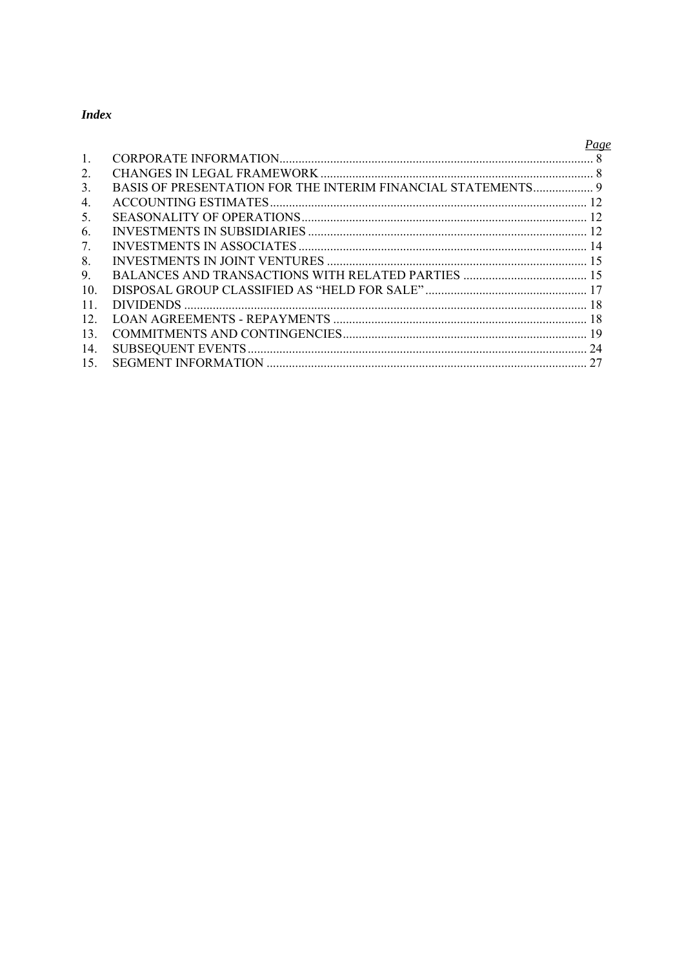## **Index**

|                                  | Page |
|----------------------------------|------|
| $\mathbf{1}$                     |      |
| 2.                               |      |
| 3.                               |      |
| $\overline{4}$ .                 |      |
| 5.                               |      |
| 6.                               |      |
| $7_{\scriptscriptstyle{\ddots}}$ |      |
| 8                                |      |
| 9.                               |      |
| 10 <sup>1</sup>                  |      |
| 11                               |      |
| 12                               |      |
| 13                               |      |
| 14.                              |      |
| 15.                              |      |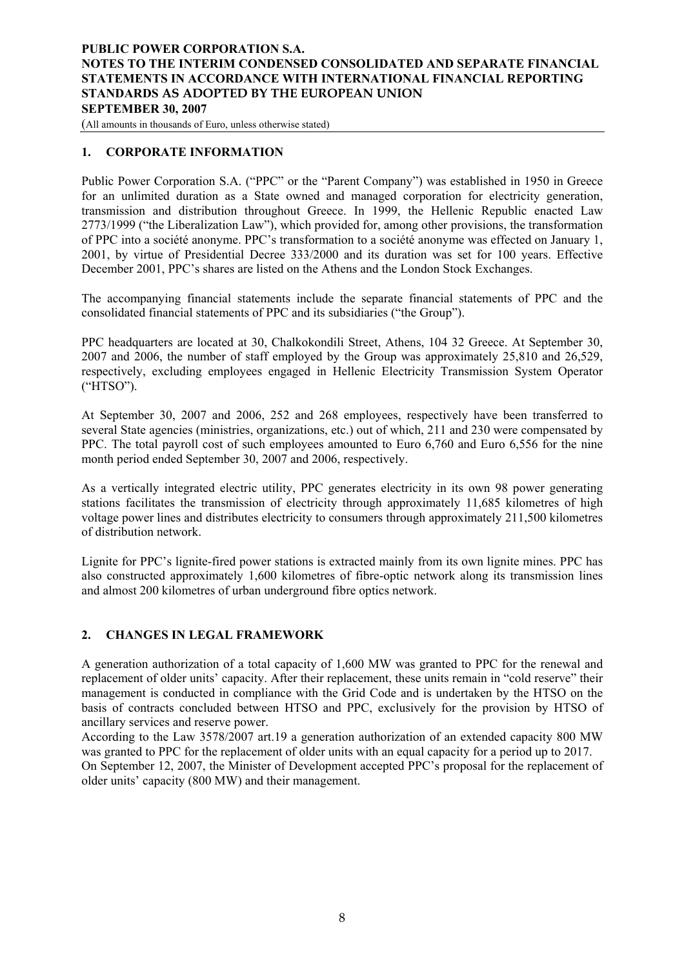<span id="page-7-0"></span>(All amounts in thousands of Euro, unless otherwise stated)

## **1. CORPORATE INFORMATION**

Public Power Corporation S.A. ("PPC" or the "Parent Company") was established in 1950 in Greece for an unlimited duration as a State owned and managed corporation for electricity generation, transmission and distribution throughout Greece. In 1999, the Hellenic Republic enacted Law 2773/1999 ("the Liberalization Law"), which provided for, among other provisions, the transformation of PPC into a société anonyme. PPC's transformation to a société anonyme was effected on January 1, 2001, by virtue of Presidential Decree 333/2000 and its duration was set for 100 years. Effective December 2001, PPC's shares are listed on the Athens and the London Stock Exchanges.

The accompanying financial statements include the separate financial statements of PPC and the consolidated financial statements of PPC and its subsidiaries ("the Group").

PPC headquarters are located at 30, Chalkokondili Street, Athens, 104 32 Greece. At September 30, 2007 and 2006, the number of staff employed by the Group was approximately 25,810 and 26,529, respectively, excluding employees engaged in Hellenic Electricity Transmission System Operator ("HTSO").

At September 30, 2007 and 2006, 252 and 268 employees, respectively have been transferred to several State agencies (ministries, organizations, etc.) out of which, 211 and 230 were compensated by PPC. The total payroll cost of such employees amounted to Euro 6,760 and Euro 6,556 for the nine month period ended September 30, 2007 and 2006, respectively.

As a vertically integrated electric utility, PPC generates electricity in its own 98 power generating stations facilitates the transmission of electricity through approximately 11,685 kilometres of high voltage power lines and distributes electricity to consumers through approximately 211,500 kilometres of distribution network.

Lignite for PPC's lignite-fired power stations is extracted mainly from its own lignite mines. PPC has also constructed approximately 1,600 kilometres of fibre-optic network along its transmission lines and almost 200 kilometres of urban underground fibre optics network.

#### **2. CHANGES IN LEGAL FRAMEWORK**

A generation authorization of a total capacity of 1,600 MW was granted to PPC for the renewal and replacement of older units' capacity. After their replacement, these units remain in "cold reserve" their management is conducted in compliance with the Grid Code and is undertaken by the HTSO on the basis of contracts concluded between HTSO and PPC, exclusively for the provision by HTSO of ancillary services and reserve power.

According to the Law 3578/2007 art.19 a generation authorization of an extended capacity 800 MW was granted to PPC for the replacement of older units with an equal capacity for a period up to 2017.

On September 12, 2007, the Minister of Development accepted PPC's proposal for the replacement of older units' capacity (800 MW) and their management.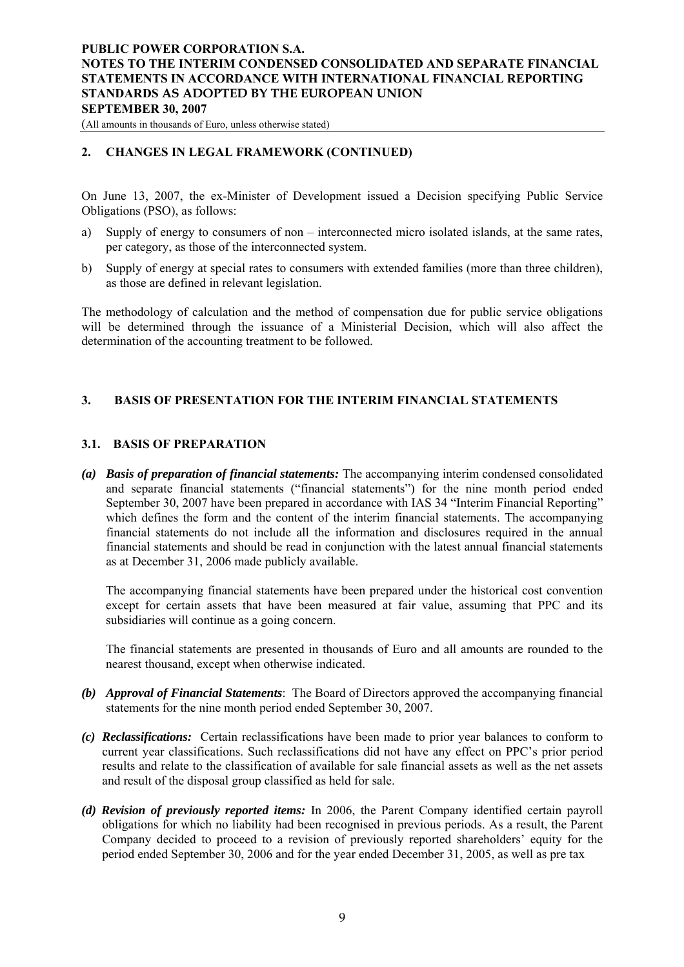<span id="page-8-0"></span>(All amounts in thousands of Euro, unless otherwise stated)

## **2. CHANGES IN LEGAL FRAMEWORK (CONTINUED)**

On June 13, 2007, the ex-Minister of Development issued a Decision specifying Public Service Obligations (PSO), as follows:

- a) Supply of energy to consumers of non interconnected micro isolated islands, at the same rates, per category, as those of the interconnected system.
- b) Supply of energy at special rates to consumers with extended families (more than three children), as those are defined in relevant legislation.

The methodology of calculation and the method of compensation due for public service obligations will be determined through the issuance of a Ministerial Decision, which will also affect the determination of the accounting treatment to be followed.

## **3. BASIS OF PRESENTATION FOR THE INTERIM FINANCIAL STATEMENTS**

#### **3.1. BASIS OF PREPARATION**

*(a) Basis of preparation of financial statements:* The accompanying interim condensed consolidated and separate financial statements ("financial statements") for the nine month period ended September 30, 2007 have been prepared in accordance with IAS 34 "Interim Financial Reporting" which defines the form and the content of the interim financial statements. The accompanying financial statements do not include all the information and disclosures required in the annual financial statements and should be read in conjunction with the latest annual financial statements as at December 31, 2006 made publicly available.

The accompanying financial statements have been prepared under the historical cost convention except for certain assets that have been measured at fair value, assuming that PPC and its subsidiaries will continue as a going concern.

The financial statements are presented in thousands of Euro and all amounts are rounded to the nearest thousand, except when otherwise indicated.

- *(b) Approval of Financial Statements*: The Board of Directors approved the accompanying financial statements for the nine month period ended September 30, 2007.
- *(c) Reclassifications:* Certain reclassifications have been made to prior year balances to conform to current year classifications. Such reclassifications did not have any effect on PPC's prior period results and relate to the classification of available for sale financial assets as well as the net assets and result of the disposal group classified as held for sale.
- *(d) Revision of previously reported items:* In 2006, the Parent Company identified certain payroll obligations for which no liability had been recognised in previous periods. As a result, the Parent Company decided to proceed to a revision of previously reported shareholders' equity for the period ended September 30, 2006 and for the year ended December 31, 2005, as well as pre tax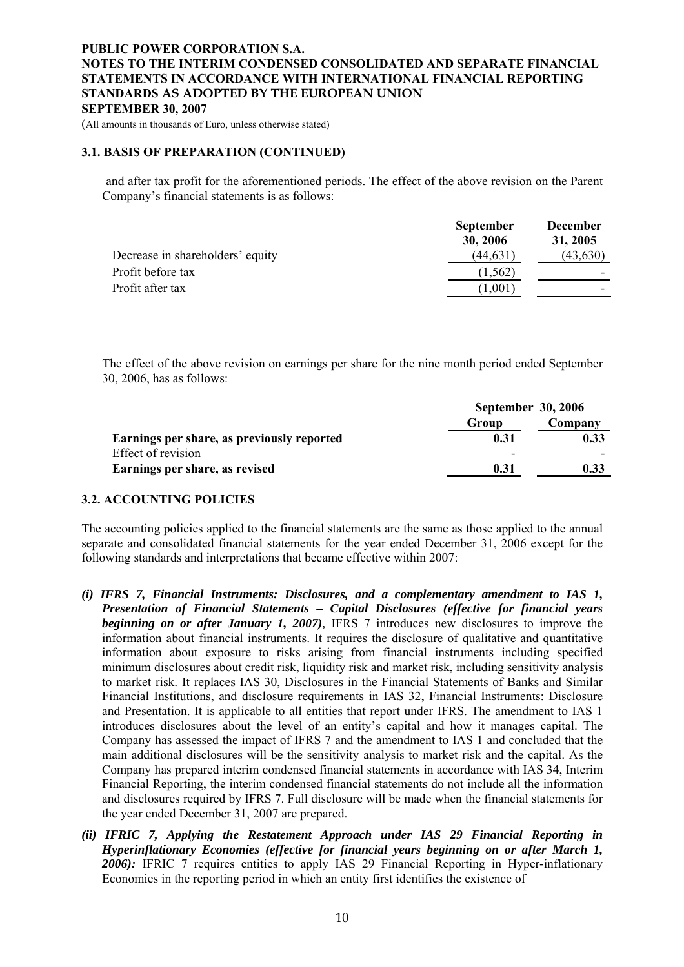(All amounts in thousands of Euro, unless otherwise stated)

#### **3.1. BASIS OF PREPARATION (CONTINUED)**

and after tax profit for the aforementioned periods. The effect of the above revision on the Parent Company's financial statements is as follows:

|                                  | <b>September</b> | <b>December</b> |
|----------------------------------|------------------|-----------------|
|                                  | 30, 2006         | 31, 2005        |
| Decrease in shareholders' equity | (44, 631)        | (43, 630)       |
| Profit before tax                | 1,562)           |                 |
| Profit after tax                 | 1,001            | -               |

The effect of the above revision on earnings per share for the nine month period ended September 30, 2006, has as follows:

|                                            | September 30, 2006 |         |  |
|--------------------------------------------|--------------------|---------|--|
|                                            | Group              | Company |  |
| Earnings per share, as previously reported | 0.31               | 0.33    |  |
| Effect of revision                         | -                  |         |  |
| Earnings per share, as revised             | 0.31               | 0.33    |  |

#### **3.2. ACCOUNTING POLICIES**

The accounting policies applied to the financial statements are the same as those applied to the annual separate and consolidated financial statements for the year ended December 31, 2006 except for the following standards and interpretations that became effective within 2007:

- *(i) IFRS 7, Financial Instruments: Disclosures, and a complementary amendment to IAS 1, Presentation of Financial Statements – Capital Disclosures (effective for financial years beginning on or after January 1, 2007*), IFRS 7 introduces new disclosures to improve the information about financial instruments. It requires the disclosure of qualitative and quantitative information about exposure to risks arising from financial instruments including specified minimum disclosures about credit risk, liquidity risk and market risk, including sensitivity analysis to market risk. It replaces IAS 30, Disclosures in the Financial Statements of Banks and Similar Financial Institutions, and disclosure requirements in IAS 32, Financial Instruments: Disclosure and Presentation. It is applicable to all entities that report under IFRS. The amendment to IAS 1 introduces disclosures about the level of an entity's capital and how it manages capital. The Company has assessed the impact of IFRS 7 and the amendment to IAS 1 and concluded that the main additional disclosures will be the sensitivity analysis to market risk and the capital. As the Company has prepared interim condensed financial statements in accordance with IAS 34, Interim Financial Reporting, the interim condensed financial statements do not include all the information and disclosures required by IFRS 7. Full disclosure will be made when the financial statements for the year ended December 31, 2007 are prepared.
- *(ii) IFRIC 7, Applying the Restatement Approach under IAS 29 Financial Reporting in Hyperinflationary Economies (effective for financial years beginning on or after March 1, 2006):* IFRIC 7 requires entities to apply IAS 29 Financial Reporting in Hyper-inflationary Economies in the reporting period in which an entity first identifies the existence of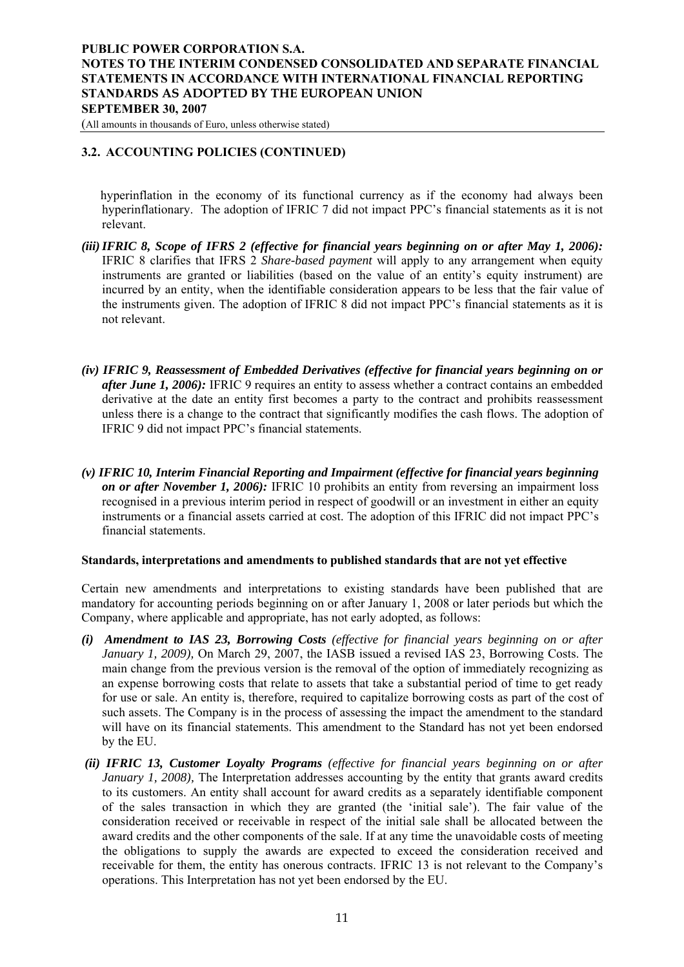(All amounts in thousands of Euro, unless otherwise stated)

## **3.2. ACCOUNTING POLICIES (CONTINUED)**

 hyperinflation in the economy of its functional currency as if the economy had always been hyperinflationary. The adoption of IFRIC 7 did not impact PPC's financial statements as it is not relevant.

- *(iii) IFRIC 8, Scope of IFRS 2 (effective for financial years beginning on or after May 1, 2006):* IFRIC 8 clarifies that IFRS 2 *Share-based payment* will apply to any arrangement when equity instruments are granted or liabilities (based on the value of an entity's equity instrument) are incurred by an entity, when the identifiable consideration appears to be less that the fair value of the instruments given. The adoption of IFRIC 8 did not impact PPC's financial statements as it is not relevant.
- *(iv) IFRIC 9, Reassessment of Embedded Derivatives (effective for financial years beginning on or after June 1, 2006):* IFRIC 9 requires an entity to assess whether a contract contains an embedded derivative at the date an entity first becomes a party to the contract and prohibits reassessment unless there is a change to the contract that significantly modifies the cash flows. The adoption of IFRIC 9 did not impact PPC's financial statements.
- *(v) IFRIC 10, Interim Financial Reporting and Impairment (effective for financial years beginning on or after November 1, 2006):* IFRIC 10 prohibits an entity from reversing an impairment loss recognised in a previous interim period in respect of goodwill or an investment in either an equity instruments or a financial assets carried at cost. The adoption of this IFRIC did not impact PPC's financial statements.

#### **Standards, interpretations and amendments to published standards that are not yet effective**

Certain new amendments and interpretations to existing standards have been published that are mandatory for accounting periods beginning on or after January 1, 2008 or later periods but which the Company, where applicable and appropriate, has not early adopted, as follows:

- *(i) Amendment to IAS 23, Borrowing Costs (effective for financial years beginning on or after January 1, 2009),* On March 29, 2007, the IASB issued a revised IAS 23, Borrowing Costs. The main change from the previous version is the removal of the option of immediately recognizing as an expense borrowing costs that relate to assets that take a substantial period of time to get ready for use or sale. An entity is, therefore, required to capitalize borrowing costs as part of the cost of such assets. The Company is in the process of assessing the impact the amendment to the standard will have on its financial statements. This amendment to the Standard has not yet been endorsed by the EU.
- *(ii) IFRIC 13, Customer Loyalty Programs (effective for financial years beginning on or after January 1, 2008*), The Interpretation addresses accounting by the entity that grants award credits to its customers. An entity shall account for award credits as a separately identifiable component of the sales transaction in which they are granted (the 'initial sale'). The fair value of the consideration received or receivable in respect of the initial sale shall be allocated between the award credits and the other components of the sale. If at any time the unavoidable costs of meeting the obligations to supply the awards are expected to exceed the consideration received and receivable for them, the entity has onerous contracts. IFRIC 13 is not relevant to the Company's operations. This Interpretation has not yet been endorsed by the EU.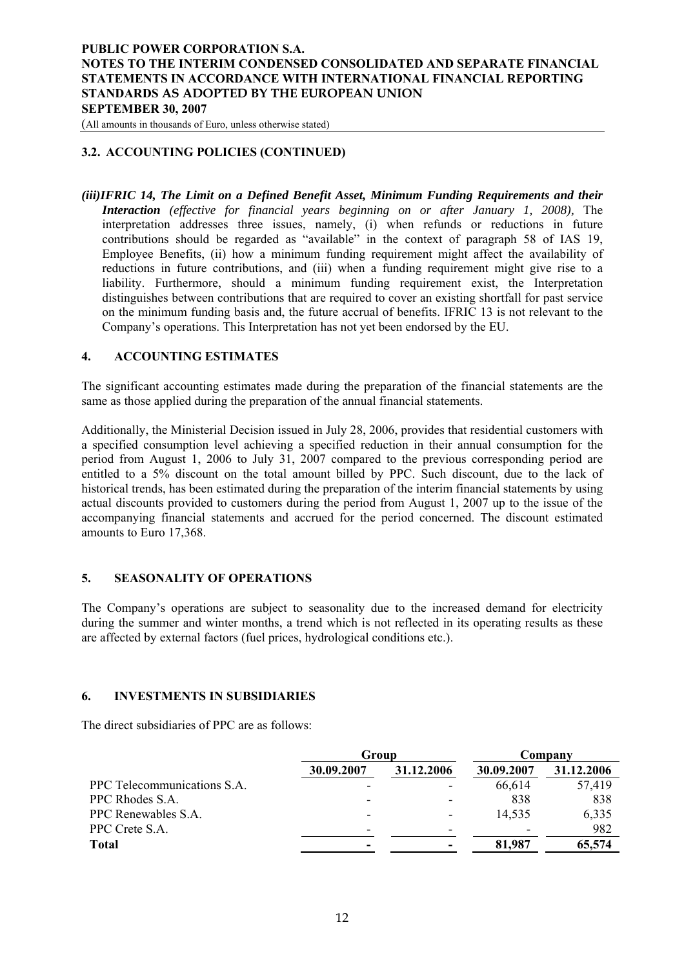<span id="page-11-0"></span>(All amounts in thousands of Euro, unless otherwise stated)

## **3.2. ACCOUNTING POLICIES (CONTINUED)**

*(iii)IFRIC 14, The Limit on a Defined Benefit Asset, Minimum Funding Requirements and their Interaction (effective for financial years beginning on or after January 1, 2008),* The interpretation addresses three issues, namely, (i) when refunds or reductions in future contributions should be regarded as "available" in the context of paragraph 58 of IAS 19, Employee Benefits, (ii) how a minimum funding requirement might affect the availability of reductions in future contributions, and (iii) when a funding requirement might give rise to a liability. Furthermore, should a minimum funding requirement exist, the Interpretation distinguishes between contributions that are required to cover an existing shortfall for past service on the minimum funding basis and, the future accrual of benefits. IFRIC 13 is not relevant to the Company's operations. This Interpretation has not yet been endorsed by the EU.

#### **4. ACCOUNTING ESTIMATES**

The significant accounting estimates made during the preparation of the financial statements are the same as those applied during the preparation of the annual financial statements.

Additionally, the Ministerial Decision issued in July 28, 2006, provides that residential customers with a specified consumption level achieving a specified reduction in their annual consumption for the period from August 1, 2006 to July 31, 2007 compared to the previous corresponding period are entitled to a 5% discount on the total amount billed by PPC. Such discount, due to the lack of historical trends, has been estimated during the preparation of the interim financial statements by using actual discounts provided to customers during the period from August 1, 2007 up to the issue of the accompanying financial statements and accrued for the period concerned. The discount estimated amounts to Euro 17,368.

#### **5. SEASONALITY OF OPERATIONS**

The Company's operations are subject to seasonality due to the increased demand for electricity during the summer and winter months, a trend which is not reflected in its operating results as these are affected by external factors (fuel prices, hydrological conditions etc.).

#### **6. INVESTMENTS IN SUBSIDIARIES**

The direct subsidiaries of PPC are as follows:

|            |            | Company    |            |  |
|------------|------------|------------|------------|--|
| 30.09.2007 | 31.12.2006 | 30.09.2007 | 31.12.2006 |  |
|            |            | 66,614     | 57,419     |  |
|            |            | 838        | 838        |  |
|            |            | 14,535     | 6,335      |  |
|            |            |            | 982        |  |
|            |            | 81,987     | 65,574     |  |
|            |            | Group      |            |  |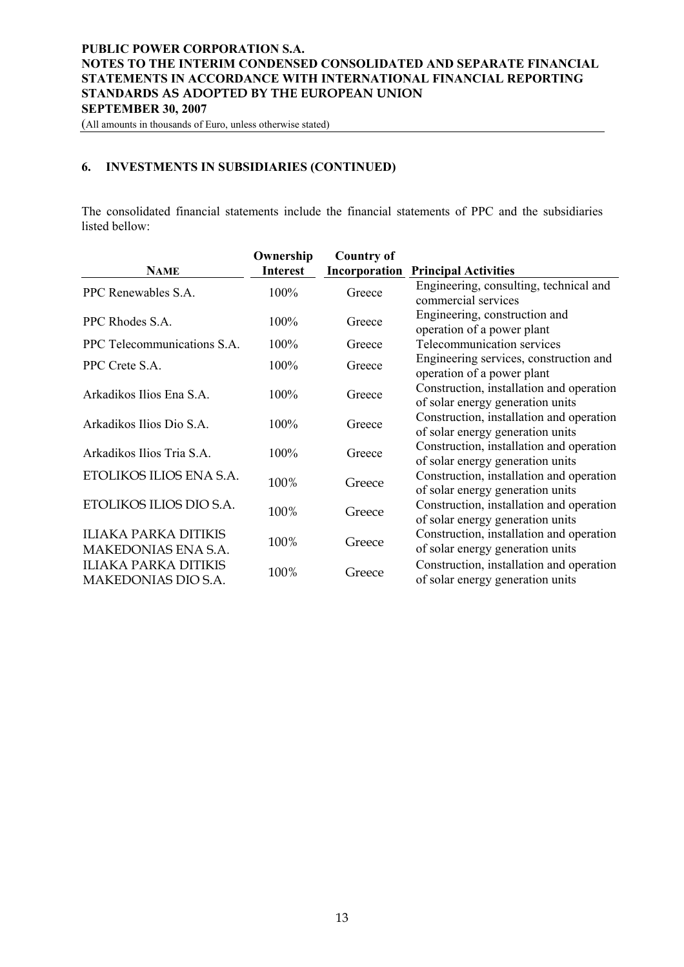(All amounts in thousands of Euro, unless otherwise stated)

## **6. INVESTMENTS IN SUBSIDIARIES (CONTINUED)**

The consolidated financial statements include the financial statements of PPC and the subsidiaries listed bellow:

|                             | Ownership       | <b>Country of</b> |                                          |
|-----------------------------|-----------------|-------------------|------------------------------------------|
| <b>NAME</b>                 | <b>Interest</b> | Incorporation     | <b>Principal Activities</b>              |
| PPC Renewables S.A.         | 100%            | Greece            | Engineering, consulting, technical and   |
|                             |                 |                   | commercial services                      |
| PPC Rhodes S.A.             | 100%            | Greece            | Engineering, construction and            |
|                             |                 |                   | operation of a power plant               |
| PPC Telecommunications S.A. | 100%            | Greece            | Telecommunication services               |
| PPC Crete S.A.              | 100%            | Greece            | Engineering services, construction and   |
|                             |                 |                   | operation of a power plant               |
| Arkadikos Ilios Ena S.A.    | 100%            | Greece            | Construction, installation and operation |
|                             |                 |                   | of solar energy generation units         |
| Arkadikos Ilios Dio S.A.    | 100%            | Greece            | Construction, installation and operation |
|                             |                 |                   | of solar energy generation units         |
| Arkadikos Ilios Tria S.A.   | 100%            | Greece            | Construction, installation and operation |
|                             |                 |                   | of solar energy generation units         |
| ETOLIKOS ILIOS ENA S.A.     | 100%            | Greece            | Construction, installation and operation |
|                             |                 |                   | of solar energy generation units         |
| ETOLIKOS ILIOS DIO S.A.     | 100%            | Greece            | Construction, installation and operation |
|                             |                 |                   | of solar energy generation units         |
| ILIAKA PARKA DITIKIS        | 100%            | Greece            | Construction, installation and operation |
| MAKEDONIAS ENA S.A.         |                 |                   | of solar energy generation units         |
| <b>ILIAKA PARKA DITIKIS</b> |                 |                   | Construction, installation and operation |
| MAKEDONIAS DIO S.A.         | 100%            | Greece            | of solar energy generation units         |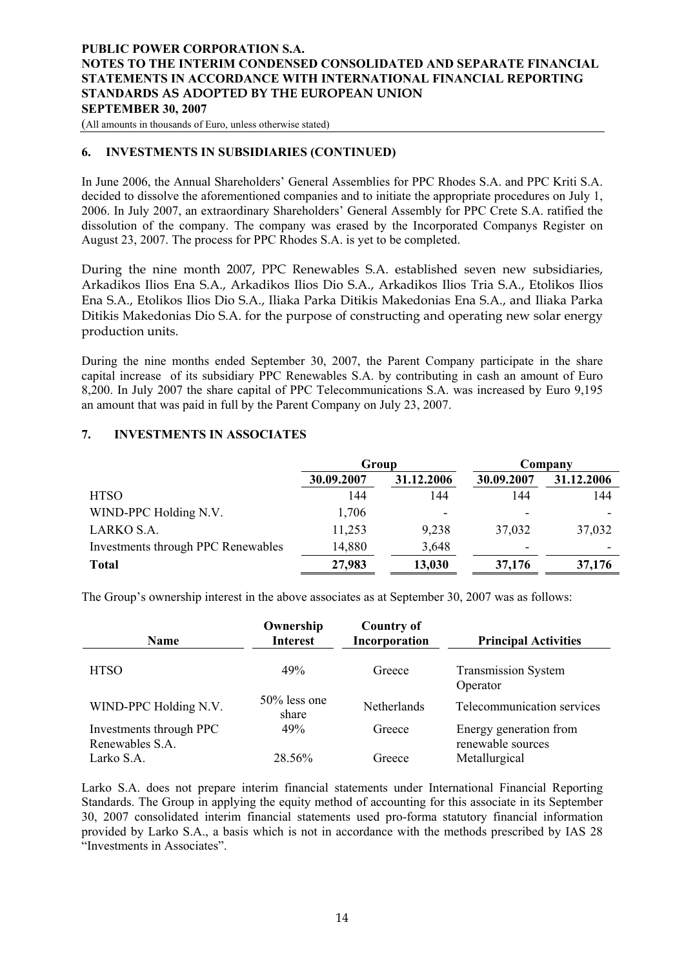<span id="page-13-0"></span>(All amounts in thousands of Euro, unless otherwise stated)

#### **6. INVESTMENTS IN SUBSIDIARIES (CONTINUED)**

In June 2006, the Annual Shareholders' General Assemblies for PPC Rhodes S.A. and PPC Kriti S.A. decided to dissolve the aforementioned companies and to initiate the appropriate procedures on July 1, 2006. In July 2007, an extraordinary Shareholders' General Assembly for PPC Crete S.A. ratified the dissolution of the company. The company was erased by the Incorporated Companys Register on August 23, 2007. The process for PPC Rhodes S.A. is yet to be completed.

During the nine month 2007, PPC Renewables S.A. established seven new subsidiaries, Arkadikos Ilios Ena S.A., Arkadikos Ilios Dio S.A., Arkadikos Ilios Tria S.A., Etolikos Ilios Ena S.A., Etolikos Ilios Dio S.A., Iliaka Parka Ditikis Makedonias Ena S.A., and Iliaka Parka Ditikis Makedonias Dio S.A. for the purpose of constructing and operating new solar energy production units.

During the nine months ended September 30, 2007, the Parent Company participate in the share capital increase of its subsidiary PPC Renewables S.A. by contributing in cash an amount of Euro 8,200. In July 2007 the share capital of PPC Telecommunications S.A. was increased by Euro 9,195 an amount that was paid in full by the Parent Company on July 23, 2007.

## **7. INVESTMENTS IN ASSOCIATES**

|                                    | Group      |                          | Company    |            |  |
|------------------------------------|------------|--------------------------|------------|------------|--|
|                                    | 30.09.2007 | 31.12.2006               | 30.09.2007 | 31.12.2006 |  |
| <b>HTSO</b>                        | 144        | 144                      | 144        | 144        |  |
| WIND-PPC Holding N.V.              | 1,706      | $\overline{\phantom{a}}$ |            |            |  |
| LARKO S.A.                         | 11,253     | 9,238                    | 37,032     | 37,032     |  |
| Investments through PPC Renewables | 14,880     | 3,648                    |            |            |  |
| <b>Total</b>                       | 27,983     | 13,030                   | 37,176     | 37,176     |  |

The Group's ownership interest in the above associates as at September 30, 2007 was as follows:

| <b>Name</b>                                | Ownership<br><b>Interest</b> | <b>Country of</b><br>Incorporation | <b>Principal Activities</b>                 |
|--------------------------------------------|------------------------------|------------------------------------|---------------------------------------------|
| <b>HTSO</b>                                | 49%                          | Greece                             | <b>Transmission System</b><br>Operator      |
| WIND-PPC Holding N.V.                      | $50\%$ less one<br>share     | Netherlands                        | Telecommunication services                  |
| Investments through PPC<br>Renewables S.A. | 49%                          | Greece                             | Energy generation from<br>renewable sources |
| Larko S.A.                                 | 28.56%                       | Greece                             | Metallurgical                               |

Larko S.A. does not prepare interim financial statements under International Financial Reporting Standards. The Group in applying the equity method of accounting for this associate in its September 30, 2007 consolidated interim financial statements used pro-forma statutory financial information provided by Larko S.A., a basis which is not in accordance with the methods prescribed by IAS 28 "Investments in Associates".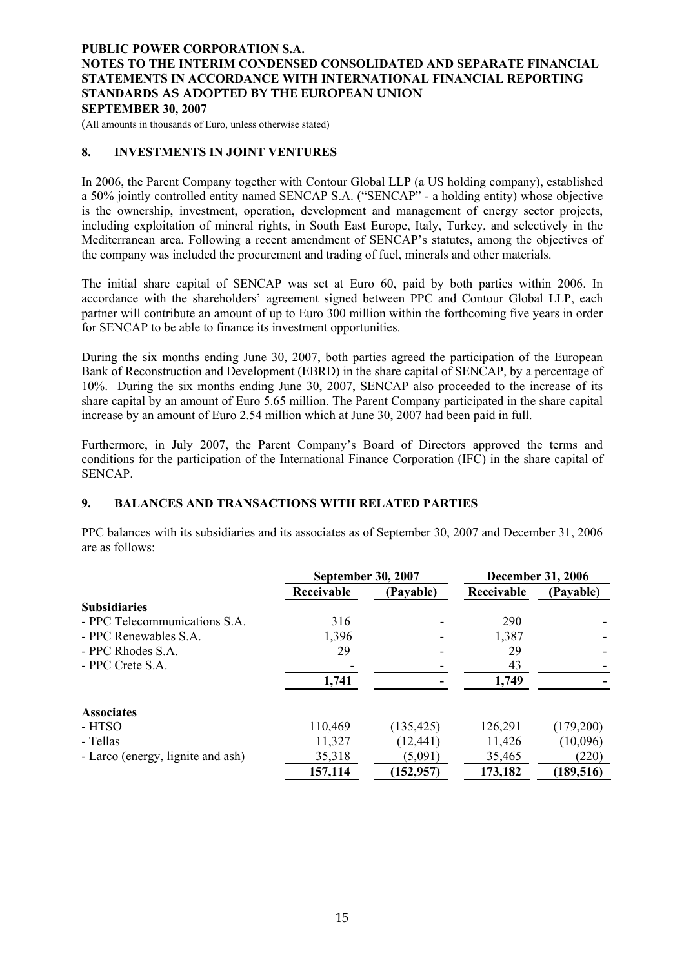<span id="page-14-0"></span>(All amounts in thousands of Euro, unless otherwise stated)

#### **8. INVESTMENTS IN JOINT VENTURES**

In 2006, the Parent Company together with Contour Global LLP (a US holding company), established a 50% jointly controlled entity named SENCAP S.A. ("SENCAP" - a holding entity) whose objective is the ownership, investment, operation, development and management of energy sector projects, including exploitation of mineral rights, in South East Europe, Italy, Turkey, and selectively in the Mediterranean area. Following a recent amendment of SENCAP's statutes, among the objectives of the company was included the procurement and trading of fuel, minerals and other materials.

The initial share capital of SENCAP was set at Euro 60, paid by both parties within 2006. In accordance with the shareholders' agreement signed between PPC and Contour Global LLP, each partner will contribute an amount of up to Euro 300 million within the forthcoming five years in order for SENCAP to be able to finance its investment opportunities.

During the six months ending June 30, 2007, both parties agreed the participation of the European Bank of Reconstruction and Development (EBRD) in the share capital of SENCAP, by a percentage of 10%. During the six months ending June 30, 2007, SENCAP also proceeded to the increase of its share capital by an amount of Euro 5.65 million. The Parent Company participated in the share capital increase by an amount of Euro 2.54 million which at June 30, 2007 had been paid in full.

Furthermore, in July 2007, the Parent Company's Board of Directors approved the terms and conditions for the participation of the International Finance Corporation (IFC) in the share capital of SENCAP.

## **9. BALANCES AND TRANSACTIONS WITH RELATED PARTIES**

PPC balances with its subsidiaries and its associates as of September 30, 2007 and December 31, 2006 are as follows:

|                                   | <b>September 30, 2007</b> |            |            | <b>December 31, 2006</b> |
|-----------------------------------|---------------------------|------------|------------|--------------------------|
|                                   | Receivable                | (Payable)  | Receivable | (Payable)                |
| <b>Subsidiaries</b>               |                           |            |            |                          |
| - PPC Telecommunications S.A.     | 316                       |            | 290        |                          |
| - PPC Renewables S.A.             | 1,396                     |            | 1,387      |                          |
| - PPC Rhodes S.A.                 | 29                        |            | 29         |                          |
| $-$ PPC Crete S.A.                |                           |            | 43         |                          |
|                                   | 1,741                     |            | 1,749      |                          |
| <b>Associates</b>                 |                           |            |            |                          |
| - HTSO                            | 110,469                   | (135, 425) | 126,291    | (179,200)                |
| - Tellas                          | 11,327                    | (12, 441)  | 11,426     | (10,096)                 |
| - Larco (energy, lignite and ash) | 35,318                    | (5,091)    | 35,465     | (220)                    |
|                                   | 157,114                   | (152, 957) | 173,182    | (189, 516)               |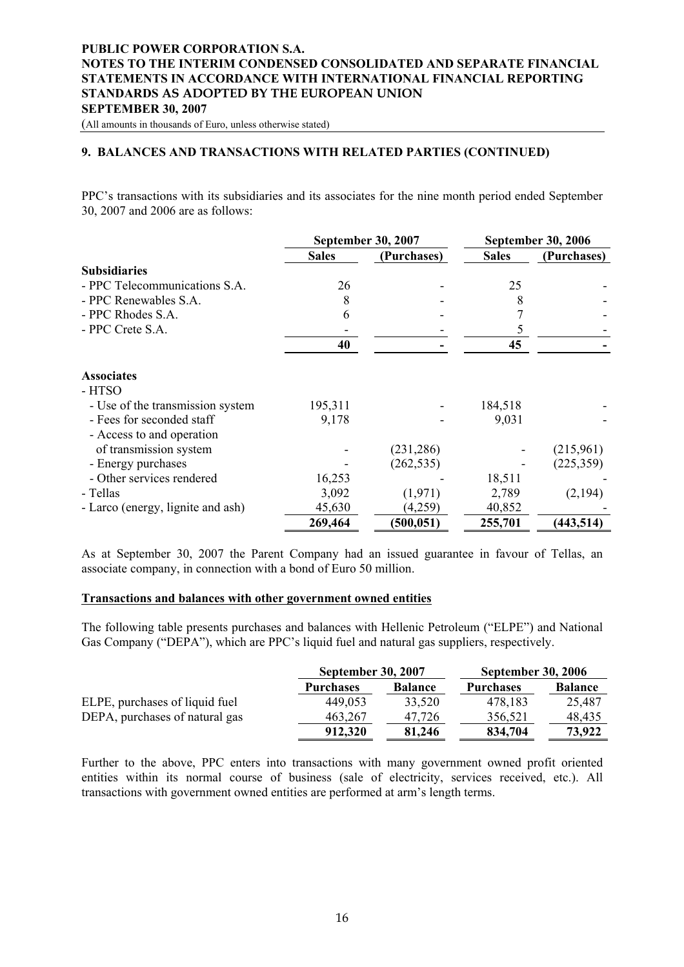(All amounts in thousands of Euro, unless otherwise stated)

#### **9. BALANCES AND TRANSACTIONS WITH RELATED PARTIES (CONTINUED)**

PPC's transactions with its subsidiaries and its associates for the nine month period ended September 30, 2007 and 2006 are as follows:

|                                   |              | <b>September 30, 2007</b> | <b>September 30, 2006</b> |             |  |
|-----------------------------------|--------------|---------------------------|---------------------------|-------------|--|
|                                   | <b>Sales</b> | (Purchases)               | <b>Sales</b>              | (Purchases) |  |
| <b>Subsidiaries</b>               |              |                           |                           |             |  |
| - PPC Telecommunications S.A.     | 26           |                           | 25                        |             |  |
| - PPC Renewables S.A.             | 8            |                           | 8                         |             |  |
| - PPC Rhodes S.A.                 | 6            |                           |                           |             |  |
| - PPC Crete S.A.                  |              |                           | 5                         |             |  |
|                                   | 40           |                           | 45                        |             |  |
| <b>Associates</b>                 |              |                           |                           |             |  |
| - HTSO                            |              |                           |                           |             |  |
| - Use of the transmission system  | 195,311      |                           | 184,518                   |             |  |
| - Fees for seconded staff         | 9,178        |                           | 9,031                     |             |  |
| - Access to and operation         |              |                           |                           |             |  |
| of transmission system            |              | (231, 286)                |                           | (215,961)   |  |
| - Energy purchases                |              | (262, 535)                |                           | (225, 359)  |  |
| - Other services rendered         | 16,253       |                           | 18,511                    |             |  |
| - Tellas                          | 3,092        | (1,971)                   | 2,789                     | (2,194)     |  |
| - Larco (energy, lignite and ash) | 45,630       | (4,259)                   | 40,852                    |             |  |
|                                   | 269,464      | (500, 051)                | 255,701                   | (443, 514)  |  |

As at September 30, 2007 the Parent Company had an issued guarantee in favour of Tellas, an associate company, in connection with a bond of Euro 50 million.

## **Transactions and balances with other government owned entities**

The following table presents purchases and balances with Hellenic Petroleum ("ELPE") and National Gas Company ("DEPA"), which are PPC's liquid fuel and natural gas suppliers, respectively.

|                                | <b>September 30, 2007</b> |                | <b>September 30, 2006</b> |                |  |
|--------------------------------|---------------------------|----------------|---------------------------|----------------|--|
|                                | <b>Purchases</b>          | <b>Balance</b> | <b>Purchases</b>          | <b>Balance</b> |  |
| ELPE, purchases of liquid fuel | 449,053                   | 33,520         | 478,183                   | 25,487         |  |
| DEPA, purchases of natural gas | 463,267                   | 47.726         | 356,521                   | 48,435         |  |
|                                | 912,320                   | 81,246         | 834,704                   | 73,922         |  |

Further to the above, PPC enters into transactions with many government owned profit oriented entities within its normal course of business (sale of electricity, services received, etc.). All transactions with government owned entities are performed at arm's length terms.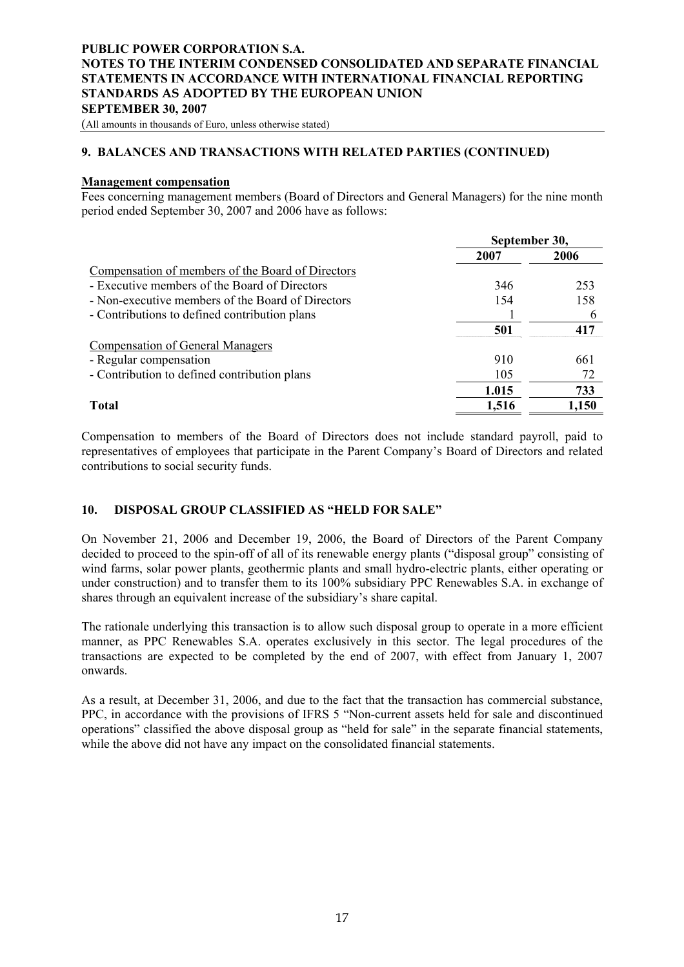<span id="page-16-0"></span>(All amounts in thousands of Euro, unless otherwise stated)

## **9. BALANCES AND TRANSACTIONS WITH RELATED PARTIES (CONTINUED)**

#### **Management compensation**

Fees concerning management members (Board of Directors and General Managers) for the nine month period ended September 30, 2007 and 2006 have as follows:

|                                                   | September 30, |       |
|---------------------------------------------------|---------------|-------|
|                                                   | 2007          | 2006  |
| Compensation of members of the Board of Directors |               |       |
| - Executive members of the Board of Directors     | 346           | 253   |
| - Non-executive members of the Board of Directors | 154           | 158   |
| - Contributions to defined contribution plans     |               |       |
|                                                   | 501           | 417   |
| <b>Compensation of General Managers</b>           |               |       |
| - Regular compensation                            | 910           | 661   |
| - Contribution to defined contribution plans      | 105           | 72    |
|                                                   | 1.015         | 733   |
| Total                                             | 1,516         | 1,150 |

Compensation to members of the Board of Directors does not include standard payroll, paid to representatives of employees that participate in the Parent Company's Board of Directors and related contributions to social security funds.

#### **10. DISPOSAL GROUP CLASSIFIED AS "HELD FOR SALE"**

On November 21, 2006 and December 19, 2006, the Board of Directors of the Parent Company decided to proceed to the spin-off of all of its renewable energy plants ("disposal group" consisting of wind farms, solar power plants, geothermic plants and small hydro-electric plants, either operating or under construction) and to transfer them to its 100% subsidiary PPC Renewables S.A. in exchange of shares through an equivalent increase of the subsidiary's share capital.

The rationale underlying this transaction is to allow such disposal group to operate in a more efficient manner, as PPC Renewables S.A. operates exclusively in this sector. The legal procedures of the transactions are expected to be completed by the end of 2007, with effect from January 1, 2007 onwards.

As a result, at December 31, 2006, and due to the fact that the transaction has commercial substance, PPC, in accordance with the provisions of IFRS 5 "Non-current assets held for sale and discontinued operations" classified the above disposal group as "held for sale" in the separate financial statements, while the above did not have any impact on the consolidated financial statements.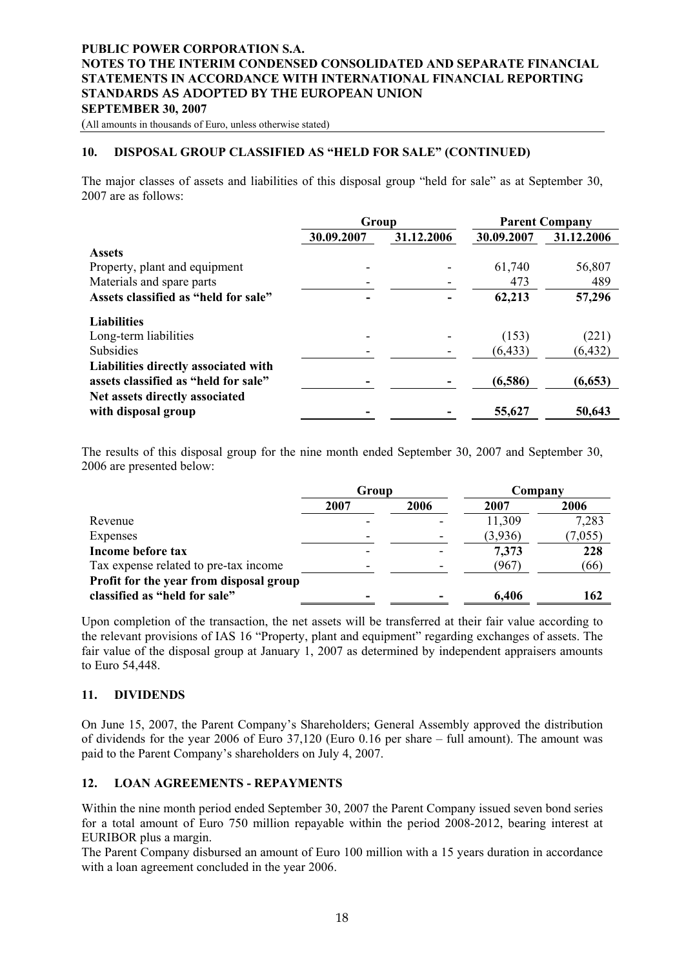<span id="page-17-0"></span>(All amounts in thousands of Euro, unless otherwise stated)

#### **10. DISPOSAL GROUP CLASSIFIED AS "HELD FOR SALE" (CONTINUED)**

The major classes of assets and liabilities of this disposal group "held for sale" as at September 30, 2007 are as follows:

|                                      | Group      |            | <b>Parent Company</b> |            |  |
|--------------------------------------|------------|------------|-----------------------|------------|--|
|                                      | 30.09.2007 | 31.12.2006 | 30.09.2007            | 31.12.2006 |  |
| <b>Assets</b>                        |            |            |                       |            |  |
| Property, plant and equipment        |            |            | 61,740                | 56,807     |  |
| Materials and spare parts            |            |            | 473                   | 489        |  |
| Assets classified as "held for sale" |            |            | 62,213                | 57,296     |  |
| <b>Liabilities</b>                   |            |            |                       |            |  |
| Long-term liabilities                |            |            | (153)                 | (221)      |  |
| <b>Subsidies</b>                     |            |            | (6, 433)              | (6, 432)   |  |
| Liabilities directly associated with |            |            |                       |            |  |
| assets classified as "held for sale" |            |            | (6,586)               | (6, 653)   |  |
| Net assets directly associated       |            |            |                       |            |  |
| with disposal group                  |            |            | 55,627                | 50,643     |  |

The results of this disposal group for the nine month ended September 30, 2007 and September 30, 2006 are presented below:

|                                         | Group | 2006<br>2007<br>11,309<br>(3,936)<br>7,373<br>(967) |       | Company |  |
|-----------------------------------------|-------|-----------------------------------------------------|-------|---------|--|
|                                         | 2007  |                                                     |       | 2006    |  |
| Revenue                                 |       |                                                     |       | 7,283   |  |
| Expenses                                |       |                                                     |       | (7,055) |  |
| Income before tax                       |       |                                                     |       | 228     |  |
| Tax expense related to pre-tax income   |       |                                                     |       | (66)    |  |
| Profit for the year from disposal group |       |                                                     |       |         |  |
| classified as "held for sale"           |       |                                                     | 6,406 | 162     |  |

Upon completion of the transaction, the net assets will be transferred at their fair value according to the relevant provisions of IAS 16 "Property, plant and equipment" regarding exchanges of assets. The fair value of the disposal group at January 1, 2007 as determined by independent appraisers amounts to Euro 54,448.

#### **11. DIVIDENDS**

On June 15, 2007, the Parent Company's Shareholders; General Assembly approved the distribution of dividends for the year 2006 of Euro 37,120 (Euro 0.16 per share – full amount). The amount was paid to the Parent Company's shareholders on July 4, 2007.

#### **12. LOAN AGREEMENTS - REPAYMENTS**

Within the nine month period ended September 30, 2007 the Parent Company issued seven bond series for a total amount of Euro 750 million repayable within the period 2008-2012, bearing interest at EURIBOR plus a margin.

The Parent Company disbursed an amount of Euro 100 million with a 15 years duration in accordance with a loan agreement concluded in the year 2006.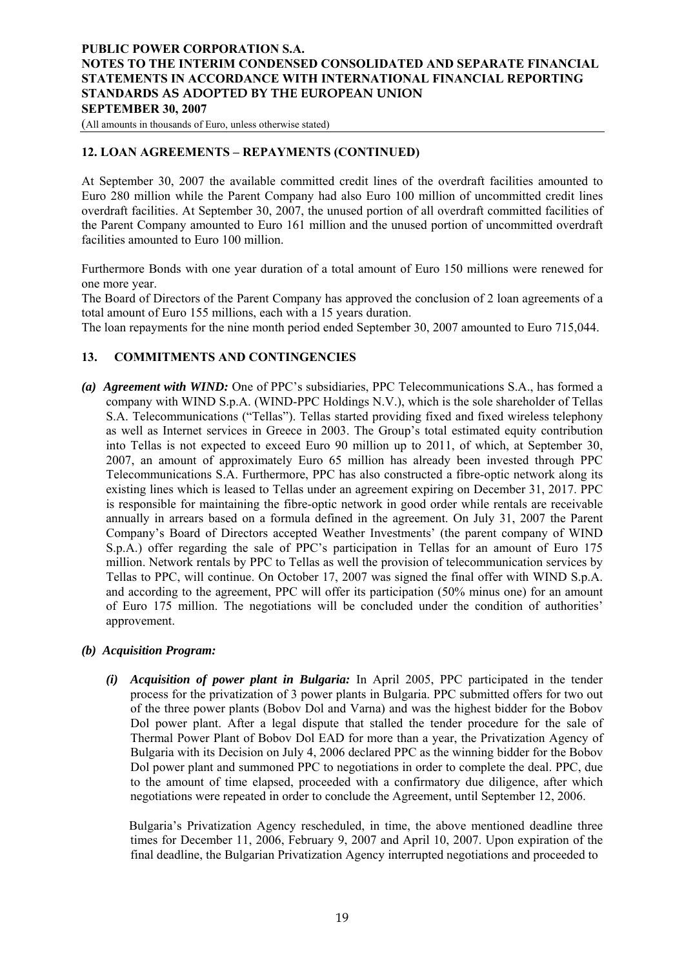<span id="page-18-0"></span>(All amounts in thousands of Euro, unless otherwise stated)

## **12. LOAN AGREEMENTS – REPAYMENTS (CONTINUED)**

At September 30, 2007 the available committed credit lines of the overdraft facilities amounted to Euro 280 million while the Parent Company had also Euro 100 million of uncommitted credit lines overdraft facilities. At September 30, 2007, the unused portion of all overdraft committed facilities of the Parent Company amounted to Euro 161 million and the unused portion of uncommitted overdraft facilities amounted to Euro 100 million.

Furthermore Bonds with one year duration of a total amount of Euro 150 millions were renewed for one more year.

The Board of Directors of the Parent Company has approved the conclusion of 2 loan agreements of a total amount of Euro 155 millions, each with a 15 years duration.

The loan repayments for the nine month period ended September 30, 2007 amounted to Euro 715,044.

## **13. COMMITMENTS AND CONTINGENCIES**

*(a) Agreement with WIND:* One of PPC's subsidiaries, PPC Telecommunications S.A., has formed a company with WIND S.p.A. (WIND-PPC Holdings N.V.), which is the sole shareholder of Tellas S.A. Telecommunications ("Tellas"). Tellas started providing fixed and fixed wireless telephony as well as Internet services in Greece in 2003. The Group's total estimated equity contribution into Tellas is not expected to exceed Euro 90 million up to 2011, of which, at September 30, 2007, an amount of approximately Euro 65 million has already been invested through PPC Telecommunications S.A. Furthermore, PPC has also constructed a fibre-optic network along its existing lines which is leased to Tellas under an agreement expiring on December 31, 2017. PPC is responsible for maintaining the fibre-optic network in good order while rentals are receivable annually in arrears based on a formula defined in the agreement. On July 31, 2007 the Parent Company's Board of Directors accepted Weather Investments' (the parent company of WIND S.p.A.) offer regarding the sale of PPC's participation in Tellas for an amount of Euro 175 million. Network rentals by PPC to Tellas as well the provision of telecommunication services by Tellas to PPC, will continue. On October 17, 2007 was signed the final offer with WIND S.p.A. and according to the agreement, PPC will offer its participation (50% minus one) for an amount of Euro 175 million. The negotiations will be concluded under the condition of authorities' approvement.

#### *(b) Acquisition Program:*

*(i) Acquisition of power plant in Bulgaria:* In April 2005, PPC participated in the tender process for the privatization of 3 power plants in Bulgaria. PPC submitted offers for two out of the three power plants (Bobov Dol and Varna) and was the highest bidder for the Bobov Dol power plant. After a legal dispute that stalled the tender procedure for the sale of Thermal Power Plant of Bobov Dol EAD for more than a year, the Privatization Agency of Bulgaria with its Decision on July 4, 2006 declared PPC as the winning bidder for the Bobov Dol power plant and summoned PPC to negotiations in order to complete the deal. PPC, due to the amount of time elapsed, proceeded with a confirmatory due diligence, after which negotiations were repeated in order to conclude the Agreement, until September 12, 2006.

 Bulgaria's Privatization Agency rescheduled, in time, the above mentioned deadline three times for December 11, 2006, February 9, 2007 and April 10, 2007. Upon expiration of the final deadline, the Bulgarian Privatization Agency interrupted negotiations and proceeded to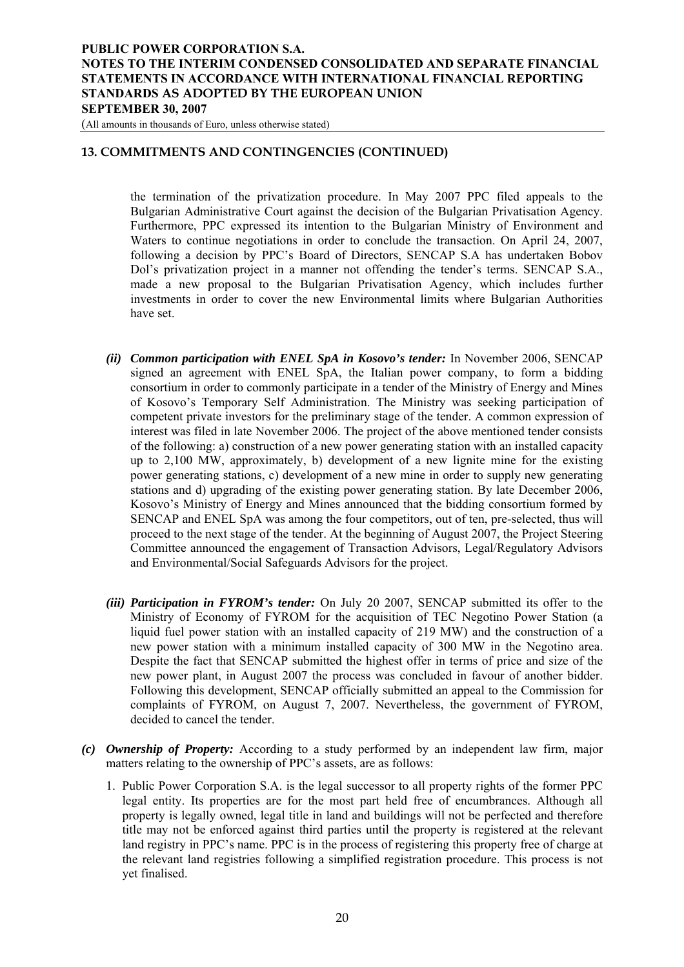(All amounts in thousands of Euro, unless otherwise stated)

## **13. COMMITMENTS AND CONTINGENCIES (CONTINUED)**

the termination of the privatization procedure. In May 2007 PPC filed appeals to the Bulgarian Administrative Court against the decision of the Bulgarian Privatisation Agency. Furthermore, PPC expressed its intention to the Bulgarian Ministry of Environment and Waters to continue negotiations in order to conclude the transaction. On April 24, 2007, following a decision by PPC's Board of Directors, SENCAP S.A has undertaken Bobov Dol's privatization project in a manner not offending the tender's terms. SENCAP S.A., made a new proposal to the Bulgarian Privatisation Agency, which includes further investments in order to cover the new Environmental limits where Bulgarian Authorities have set.

- *(ii) Common participation with ENEL SpA in Kosovo's tender:* In November 2006, SENCAP signed an agreement with ENEL SpA, the Italian power company, to form a bidding consortium in order to commonly participate in a tender of the Ministry of Energy and Mines of Kosovo's Temporary Self Administration. The Ministry was seeking participation of competent private investors for the preliminary stage of the tender. A common expression of interest was filed in late November 2006. The project of the above mentioned tender consists of the following: a) construction of a new power generating station with an installed capacity up to 2,100 MW, approximately, b) development of a new lignite mine for the existing power generating stations, c) development of a new mine in order to supply new generating stations and d) upgrading of the existing power generating station. By late December 2006, Kosovo's Ministry of Energy and Mines announced that the bidding consortium formed by SENCAP and ENEL SpA was among the four competitors, out of ten, pre-selected, thus will proceed to the next stage of the tender. At the beginning of August 2007, the Project Steering Committee announced the engagement of Transaction Advisors, Legal/Regulatory Advisors and Environmental/Social Safeguards Advisors for the project.
- *(iii) Participation in FYROM's tender:* On July 20 2007, SENCAP submitted its offer to the Ministry of Economy of FYROM for the acquisition of TEC Negotino Power Station (a liquid fuel power station with an installed capacity of 219 MW) and the construction of a new power station with a minimum installed capacity of 300 MW in the Negotino area. Despite the fact that SENCAP submitted the highest offer in terms of price and size of the new power plant, in August 2007 the process was concluded in favour of another bidder. Following this development, SENCAP officially submitted an appeal to the Commission for complaints of FYROM, on August 7, 2007. Nevertheless, the government of FYROM, decided to cancel the tender.
- *(c) Ownership of Property:* According to a study performed by an independent law firm, major matters relating to the ownership of PPC's assets, are as follows:
	- 1. Public Power Corporation S.A. is the legal successor to all property rights of the former PPC legal entity. Its properties are for the most part held free of encumbrances. Although all property is legally owned, legal title in land and buildings will not be perfected and therefore title may not be enforced against third parties until the property is registered at the relevant land registry in PPC's name. PPC is in the process of registering this property free of charge at the relevant land registries following a simplified registration procedure. This process is not yet finalised.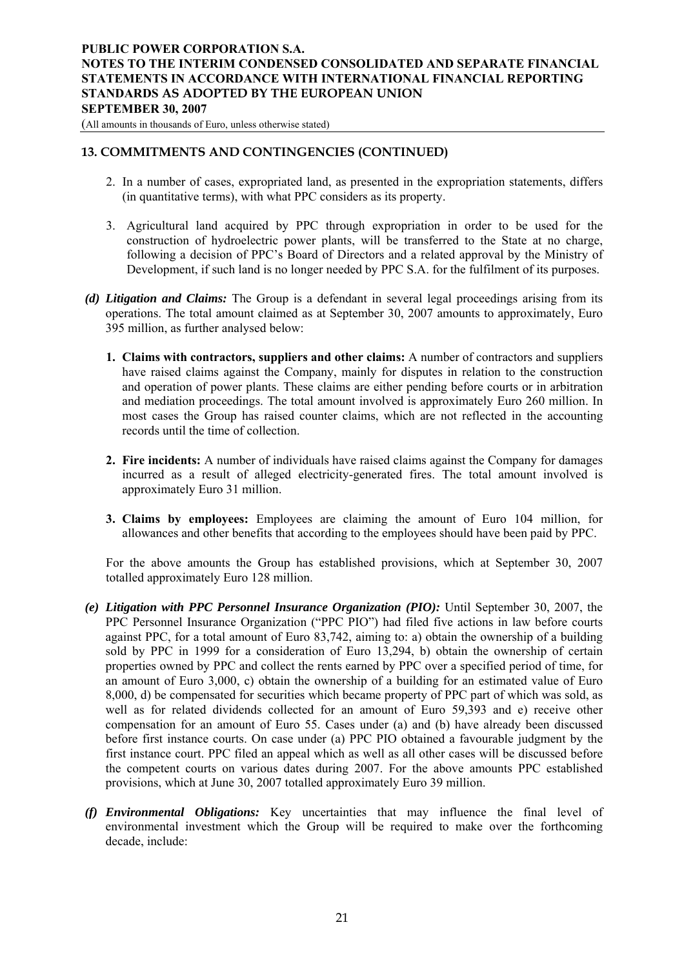(All amounts in thousands of Euro, unless otherwise stated)

## **13. COMMITMENTS AND CONTINGENCIES (CONTINUED)**

- 2. In a number of cases, expropriated land, as presented in the expropriation statements, differs (in quantitative terms), with what PPC considers as its property.
- 3. Agricultural land acquired by PPC through expropriation in order to be used for the construction of hydroelectric power plants, will be transferred to the State at no charge, following a decision of PPC's Board of Directors and a related approval by the Ministry of Development, if such land is no longer needed by PPC S.A. for the fulfilment of its purposes.
- *(d) Litigation and Claims:* The Group is a defendant in several legal proceedings arising from its operations. The total amount claimed as at September 30, 2007 amounts to approximately, Euro 395 million, as further analysed below:
	- **1. Claims with contractors, suppliers and other claims:** A number of contractors and suppliers have raised claims against the Company, mainly for disputes in relation to the construction and operation of power plants. These claims are either pending before courts or in arbitration and mediation proceedings. The total amount involved is approximately Euro 260 million. In most cases the Group has raised counter claims, which are not reflected in the accounting records until the time of collection.
	- **2. Fire incidents:** A number of individuals have raised claims against the Company for damages incurred as a result of alleged electricity-generated fires. The total amount involved is approximately Euro 31 million.
	- **3. Claims by employees:** Employees are claiming the amount of Euro 104 million, for allowances and other benefits that according to the employees should have been paid by PPC.

For the above amounts the Group has established provisions, which at September 30, 2007 totalled approximately Euro 128 million.

- *(e) Litigation with PPC Personnel Insurance Organization (PIO):* Until September 30, 2007, the PPC Personnel Insurance Organization ("PPC PIO") had filed five actions in law before courts against PPC, for a total amount of Euro 83,742, aiming to: a) obtain the ownership of a building sold by PPC in 1999 for a consideration of Euro 13,294, b) obtain the ownership of certain properties owned by PPC and collect the rents earned by PPC over a specified period of time, for an amount of Euro 3,000, c) obtain the ownership of a building for an estimated value of Euro 8,000, d) be compensated for securities which became property of PPC part of which was sold, as well as for related dividends collected for an amount of Euro 59,393 and e) receive other compensation for an amount of Euro 55. Cases under (a) and (b) have already been discussed before first instance courts. On case under (a) PPC PIO obtained a favourable judgment by the first instance court. PPC filed an appeal which as well as all other cases will be discussed before the competent courts on various dates during 2007. For the above amounts PPC established provisions, which at June 30, 2007 totalled approximately Euro 39 million.
- *(f) Environmental Obligations:* Key uncertainties that may influence the final level of environmental investment which the Group will be required to make over the forthcoming decade, include: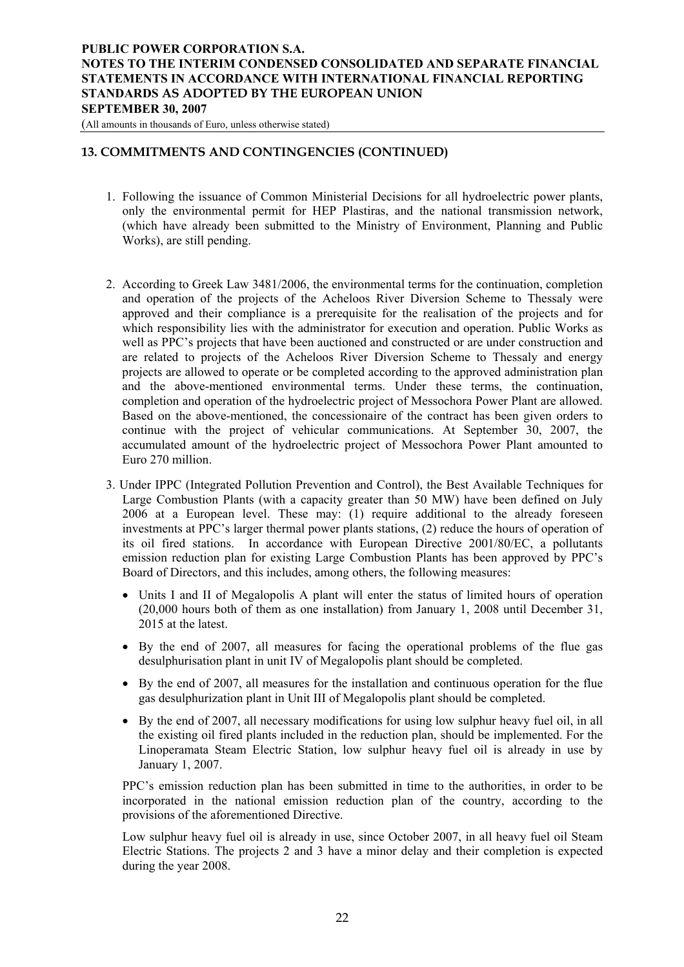(All amounts in thousands of Euro, unless otherwise stated)

## **13. COMMITMENTS AND CONTINGENCIES (CONTINUED)**

- 1. Following the issuance of Common Ministerial Decisions for all hydroelectric power plants, only the environmental permit for HEP Plastiras, and the national transmission network, (which have already been submitted to the Ministry of Environment, Planning and Public Works), are still pending.
- 2. According to Greek Law 3481/2006, the environmental terms for the continuation, completion and operation of the projects of the Acheloos River Diversion Scheme to Thessaly were approved and their compliance is a prerequisite for the realisation of the projects and for which responsibility lies with the administrator for execution and operation. Public Works as well as PPC's projects that have been auctioned and constructed or are under construction and are related to projects of the Acheloos River Diversion Scheme to Thessaly and energy projects are allowed to operate or be completed according to the approved administration plan and the above-mentioned environmental terms. Under these terms, the continuation, completion and operation of the hydroelectric project of Messochora Power Plant are allowed. Based on the above-mentioned, the concessionaire of the contract has been given orders to continue with the project of vehicular communications. At September 30, 2007, the accumulated amount of the hydroelectric project of Messochora Power Plant amounted to Euro 270 million.
- 3. Under IPPC (Integrated Pollution Prevention and Control), the Best Available Techniques for Large Combustion Plants (with a capacity greater than 50 MW) have been defined on July 2006 at a European level. These may: (1) require additional to the already foreseen investments at PPC's larger thermal power plants stations, (2) reduce the hours of operation of its oil fired stations. In accordance with European Directive 2001/80/EC, a pollutants emission reduction plan for existing Large Combustion Plants has been approved by PPC's Board of Directors, and this includes, among others, the following measures:
	- Units I and II of Megalopolis A plant will enter the status of limited hours of operation (20,000 hours both of them as one installation) from January 1, 2008 until December 31, 2015 at the latest.
	- By the end of 2007, all measures for facing the operational problems of the flue gas desulphurisation plant in unit IV of Megalopolis plant should be completed.
	- By the end of 2007, all measures for the installation and continuous operation for the flue gas desulphurization plant in Unit III of Megalopolis plant should be completed.
	- By the end of 2007, all necessary modifications for using low sulphur heavy fuel oil, in all the existing oil fired plants included in the reduction plan, should be implemented. For the Linoperamata Steam Electric Station, low sulphur heavy fuel oil is already in use by January 1, 2007.

PPC's emission reduction plan has been submitted in time to the authorities, in order to be incorporated in the national emission reduction plan of the country, according to the provisions of the aforementioned Directive.

Low sulphur heavy fuel oil is already in use, since October 2007, in all heavy fuel oil Steam Electric Stations. The projects 2 and 3 have a minor delay and their completion is expected during the year 2008.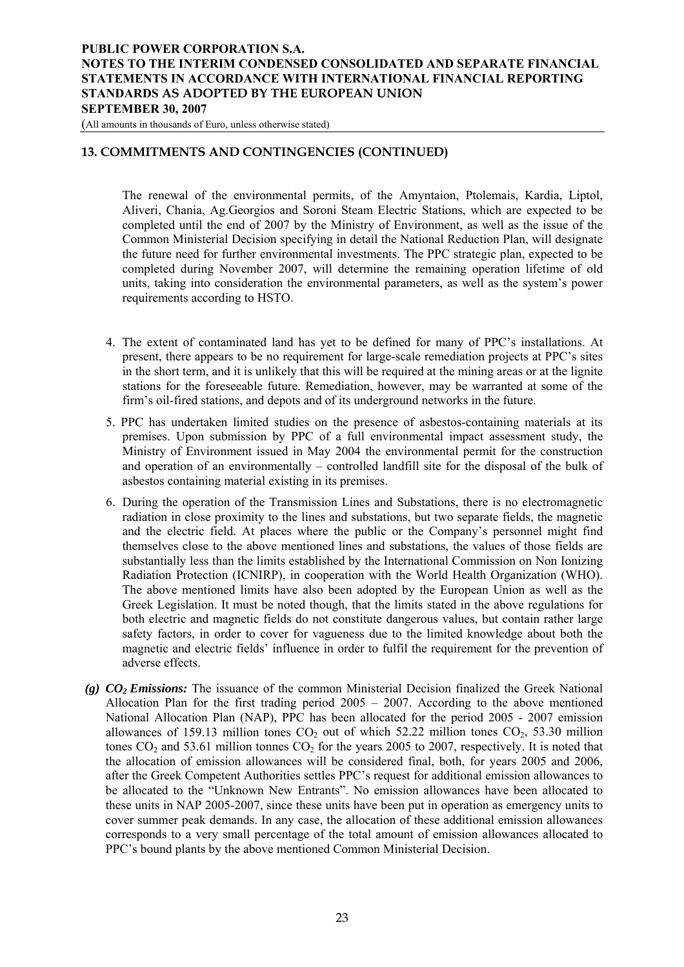(All amounts in thousands of Euro, unless otherwise stated)

## **13. COMMITMENTS AND CONTINGENCIES (CONTINUED)**

The renewal of the environmental permits, of the Amyntaion, Ptolemais, Kardia, Liptol, Aliveri, Chania, Ag.Georgios and Soroni Steam Electric Stations, which are expected to be completed until the end of 2007 by the Ministry of Environment, as well as the issue of the Common Ministerial Decision specifying in detail the National Reduction Plan, will designate the future need for further environmental investments. The PPC strategic plan, expected to be completed during November 2007, will determine the remaining operation lifetime of old units, taking into consideration the environmental parameters, as well as the system's power requirements according to HSTO.

- 4. The extent of contaminated land has yet to be defined for many of PPC's installations. At present, there appears to be no requirement for large-scale remediation projects at PPC's sites in the short term, and it is unlikely that this will be required at the mining areas or at the lignite stations for the foreseeable future. Remediation, however, may be warranted at some of the firm's oil-fired stations, and depots and of its underground networks in the future.
- 5. PPC has undertaken limited studies on the presence of asbestos-containing materials at its premises. Upon submission by PPC of a full environmental impact assessment study, the Ministry of Environment issued in May 2004 the environmental permit for the construction and operation of an environmentally – controlled landfill site for the disposal of the bulk of asbestos containing material existing in its premises.
- 6. During the operation of the Transmission Lines and Substations, there is no electromagnetic radiation in close proximity to the lines and substations, but two separate fields, the magnetic and the electric field. At places where the public or the Company's personnel might find themselves close to the above mentioned lines and substations, the values of those fields are substantially less than the limits established by the International Commission on Non Ionizing Radiation Protection (ICNIRP), in cooperation with the World Health Organization (WHO). The above mentioned limits have also been adopted by the European Union as well as the Greek Legislation. It must be noted though, that the limits stated in the above regulations for both electric and magnetic fields do not constitute dangerous values, but contain rather large safety factors, in order to cover for vagueness due to the limited knowledge about both the magnetic and electric fields' influence in order to fulfil the requirement for the prevention of adverse effects.
- *(g) CO2 Emissions:* The issuance of the common Ministerial Decision finalized the Greek National Allocation Plan for the first trading period 2005 – 2007. According to the above mentioned National Allocation Plan (NAP), PPC has been allocated for the period 2005 - 2007 emission allowances of 159.13 million tones  $CO<sub>2</sub>$  out of which 52.22 million tones  $CO<sub>2</sub>$ , 53.30 million tones  $CO_2$  and 53.61 million tonnes  $CO_2$  for the years 2005 to 2007, respectively. It is noted that the allocation of emission allowances will be considered final, both, for years 2005 and 2006, after the Greek Competent Authorities settles PPC's request for additional emission allowances to be allocated to the "Unknown New Entrants". No emission allowances have been allocated to these units in NAP 2005-2007, since these units have been put in operation as emergency units to cover summer peak demands. In any case, the allocation of these additional emission allowances corresponds to a very small percentage of the total amount of emission allowances allocated to PPC's bound plants by the above mentioned Common Ministerial Decision.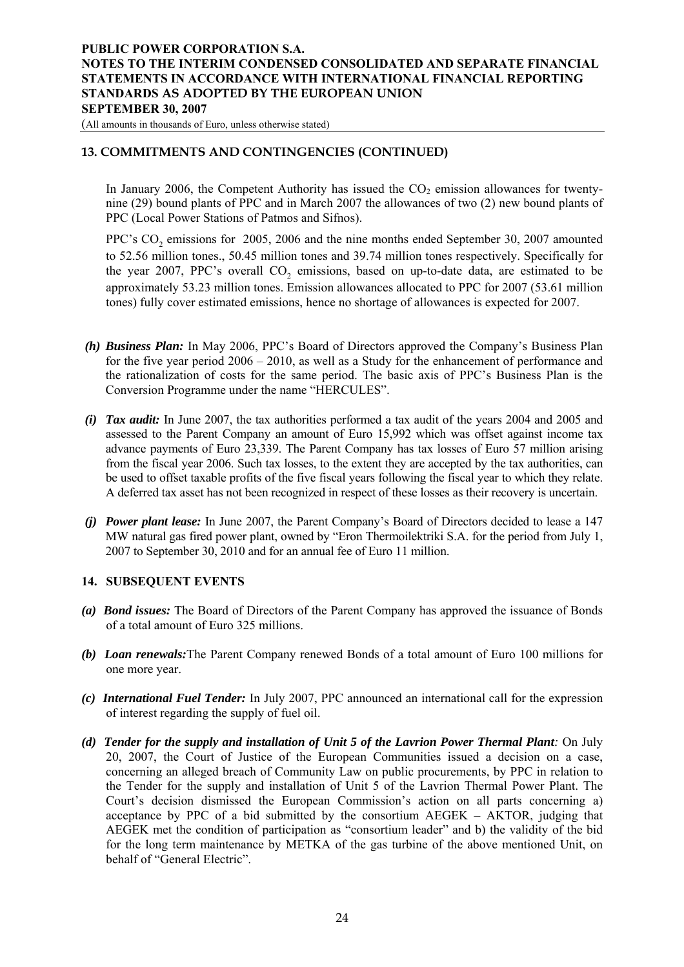<span id="page-23-0"></span>(All amounts in thousands of Euro, unless otherwise stated)

## **13. COMMITMENTS AND CONTINGENCIES (CONTINUED)**

In January 2006, the Competent Authority has issued the  $CO<sub>2</sub>$  emission allowances for twentynine (29) bound plants of PPC and in March 2007 the allowances of two (2) new bound plants of PPC (Local Power Stations of Patmos and Sifnos).

PPC's CO<sub>2</sub> emissions for 2005, 2006 and the nine months ended September 30, 2007 amounted to 52.56 million tones., 50.45 million tones and 39.74 million tones respectively. Specifically for the year 2007, PPC's overall CO<sub>2</sub> emissions, based on up-to-date data, are estimated to be approximately 53.23 million tones. Emission allowances allocated to PPC for 2007 (53.61 million tones) fully cover estimated emissions, hence no shortage of allowances is expected for 2007.

- *(h) Business Plan:* In May 2006, PPC's Board of Directors approved the Company's Business Plan for the five year period 2006 – 2010, as well as a Study for the enhancement of performance and the rationalization of costs for the same period. The basic axis of PPC's Business Plan is the Conversion Programme under the name "HERCULES".
- *(i) Tax audit:* In June 2007, the tax authorities performed a tax audit of the years 2004 and 2005 and assessed to the Parent Company an amount of Euro 15,992 which was offset against income tax advance payments of Euro 23,339. The Parent Company has tax losses of Euro 57 million arising from the fiscal year 2006. Such tax losses, to the extent they are accepted by the tax authorities, can be used to offset taxable profits of the five fiscal years following the fiscal year to which they relate. A deferred tax asset has not been recognized in respect of these losses as their recovery is uncertain.
- *(j) Power plant lease:* In June 2007, the Parent Company's Board of Directors decided to lease a 147 MW natural gas fired power plant, owned by "Eron Thermoilektriki S.A. for the period from July 1, 2007 to September 30, 2010 and for an annual fee of Euro 11 million.

#### **14. SUBSEQUENT EVENTS**

- *(a) Bond issues:* The Board of Directors of the Parent Company has approved the issuance of Bonds of a total amount of Euro 325 millions.
- *(b) Loan renewals:*The Parent Company renewed Bonds of a total amount of Euro 100 millions for one more year.
- *(c) International Fuel Tender:* In July 2007, PPC announced an international call for the expression of interest regarding the supply of fuel oil.
- *(d) Tender for the supply and installation of Unit 5 of the Lavrion Power Thermal Plant:* On July 20, 2007, the Court of Justice of the European Communities issued a decision on a case, concerning an alleged breach of Community Law on public procurements, by PPC in relation to the Tender for the supply and installation of Unit 5 of the Lavrion Thermal Power Plant. The Court's decision dismissed the European Commission's action on all parts concerning a) acceptance by PPC of a bid submitted by the consortium AEGEK – AKTOR, judging that AEGEK met the condition of participation as "consortium leader" and b) the validity of the bid for the long term maintenance by METKA of the gas turbine of the above mentioned Unit, on behalf of "General Electric".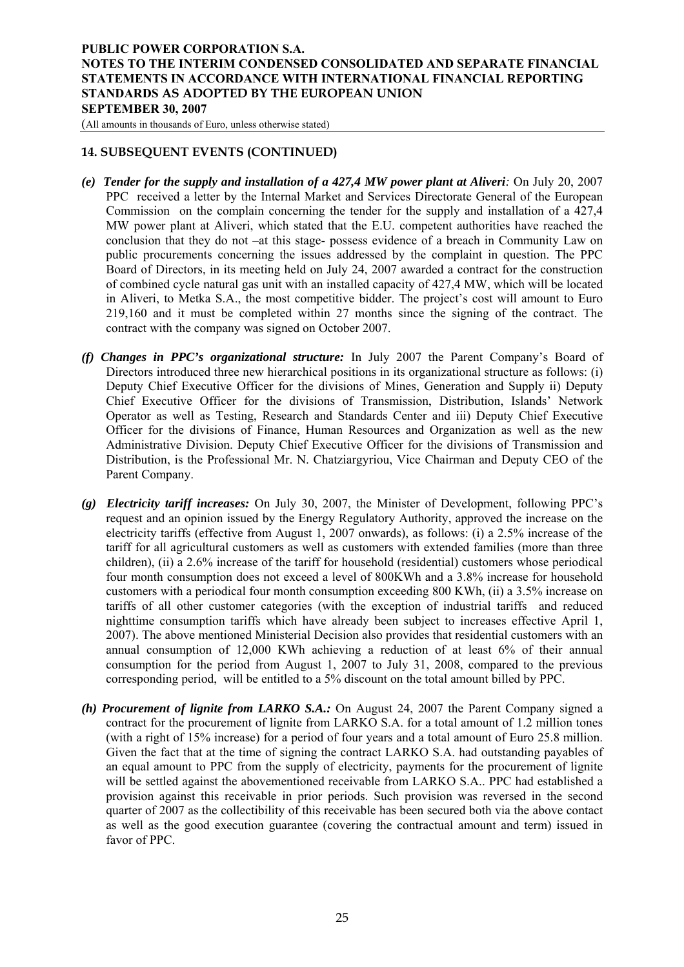(All amounts in thousands of Euro, unless otherwise stated)

#### **14. SUBSEQUENT EVENTS (CONTINUED)**

- *(e) Tender for the supply and installation of a 427,4 MW power plant at Aliveri:* On July 20, 2007 PPC received a letter by the Internal Market and Services Directorate General of the European Commission on the complain concerning the tender for the supply and installation of a 427,4 MW power plant at Aliveri, which stated that the E.U. competent authorities have reached the conclusion that they do not –at this stage- possess evidence of a breach in Community Law on public procurements concerning the issues addressed by the complaint in question. The PPC Board of Directors, in its meeting held on July 24, 2007 awarded a contract for the construction of combined cycle natural gas unit with an installed capacity of 427,4 MW, which will be located in Aliveri, to Metka S.A., the most competitive bidder. The project's cost will amount to Euro 219,160 and it must be completed within 27 months since the signing of the contract. The contract with the company was signed on October 2007.
- *(f) Changes in PPC's organizational structure:* In July 2007 the Parent Company's Board of Directors introduced three new hierarchical positions in its organizational structure as follows: (i) Deputy Chief Executive Officer for the divisions of Mines, Generation and Supply ii) Deputy Chief Executive Officer for the divisions of Transmission, Distribution, Islands' Network Operator as well as Testing, Research and Standards Center and iii) Deputy Chief Executive Officer for the divisions of Finance, Human Resources and Organization as well as the new Administrative Division. Deputy Chief Executive Officer for the divisions of Transmission and Distribution, is the Professional Mr. N. Chatziargyriou, Vice Chairman and Deputy CEO of the Parent Company.
- *(g) Electricity tariff increases:* On July 30, 2007, the Minister of Development, following PPC's request and an opinion issued by the Energy Regulatory Authority, approved the increase on the electricity tariffs (effective from August 1, 2007 onwards), as follows: (i) a 2.5% increase of the tariff for all agricultural customers as well as customers with extended families (more than three children), (ii) a 2.6% increase of the tariff for household (residential) customers whose periodical four month consumption does not exceed a level of 800KWh and a 3.8% increase for household customers with a periodical four month consumption exceeding 800 KWh, (ii) a 3.5% increase on tariffs of all other customer categories (with the exception of industrial tariffs and reduced nighttime consumption tariffs which have already been subject to increases effective April 1, 2007). The above mentioned Ministerial Decision also provides that residential customers with an annual consumption of 12,000 KWh achieving a reduction of at least 6% of their annual consumption for the period from August 1, 2007 to July 31, 2008, compared to the previous corresponding period, will be entitled to a 5% discount on the total amount billed by PPC.
- *(h) Procurement of lignite from LARKO S.A.:* On August 24, 2007 the Parent Company signed a contract for the procurement of lignite from LARKO S.A. for a total amount of 1.2 million tones (with a right of 15% increase) for a period of four years and a total amount of Euro 25.8 million. Given the fact that at the time of signing the contract LARKO S.A. had outstanding payables of an equal amount to PPC from the supply of electricity, payments for the procurement of lignite will be settled against the abovementioned receivable from LARKO S.A.. PPC had established a provision against this receivable in prior periods. Such provision was reversed in the second quarter of 2007 as the collectibility of this receivable has been secured both via the above contact as well as the good execution guarantee (covering the contractual amount and term) issued in favor of PPC.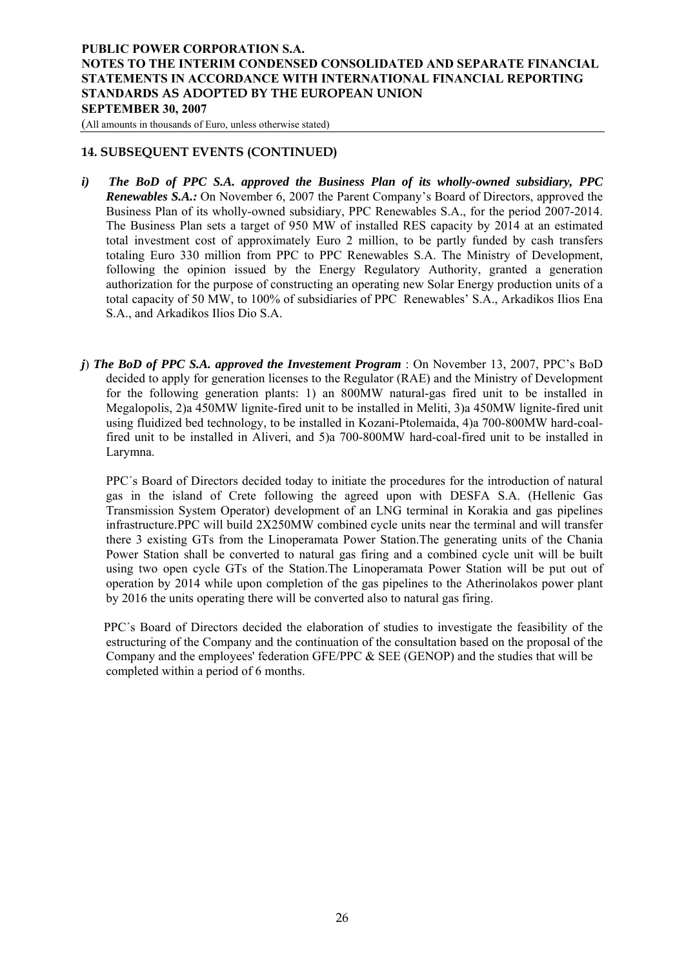(All amounts in thousands of Euro, unless otherwise stated)

#### **14. SUBSEQUENT EVENTS (CONTINUED)**

- *i) The BoD of PPC S.A. approved the Business Plan of its wholly-owned subsidiary, PPC Renewables S.A.:* On November 6, 2007 the Parent Company's Board of Directors, approved the Business Plan of its wholly-owned subsidiary, PPC Renewables S.A., for the period 2007-2014. The Business Plan sets a target of 950 MW of installed RES capacity by 2014 at an estimated total investment cost of approximately Euro 2 million, to be partly funded by cash transfers totaling Euro 330 million from PPC to PPC Renewables S.A. The Ministry of Development, following the opinion issued by the Energy Regulatory Authority, granted a generation authorization for the purpose of constructing an operating new Solar Energy production units of a total capacity of 50 MW, to 100% of subsidiaries of PPC Renewables' S.A., Arkadikos Ilios Ena S.A., and Arkadikos Ilios Dio S.A.
- *j*) *The BoD of PPC S.A. approved the Investement Program* : On November 13, 2007, PPC's BoD decided to apply for generation licenses to the Regulator (RAE) and the Ministry of Development for the following generation plants: 1) an 800MW natural-gas fired unit to be installed in Megalopolis, 2)a 450MW lignite-fired unit to be installed in Meliti, 3)a 450MW lignite-fired unit using fluidized bed technology, to be installed in Kozani-Ptolemaida, 4)a 700-800MW hard-coalfired unit to be installed in Aliveri, and 5)a 700-800MW hard-coal-fired unit to be installed in Larymna.

PPC΄s Board of Directors decided today to initiate the procedures for the introduction of natural gas in the island of Crete following the agreed upon with DESFA S.A. (Hellenic Gas Transmission System Operator) development of an LNG terminal in Korakia and gas pipelines infrastructure.PPC will build 2X250MW combined cycle units near the terminal and will transfer there 3 existing GTs from the Linoperamata Power Station.The generating units of the Chania Power Station shall be converted to natural gas firing and a combined cycle unit will be built using two open cycle GTs of the Station.The Linoperamata Power Station will be put out of operation by 2014 while upon completion of the gas pipelines to the Atherinolakos power plant by 2016 the units operating there will be converted also to natural gas firing.

 PPC΄s Board of Directors decided the elaboration of studies to investigate the feasibility of the estructuring of the Company and the continuation of the consultation based on the proposal of the Company and the employees' federation GFE/PPC & SEE (GENOP) and the studies that will be completed within a period of 6 months.